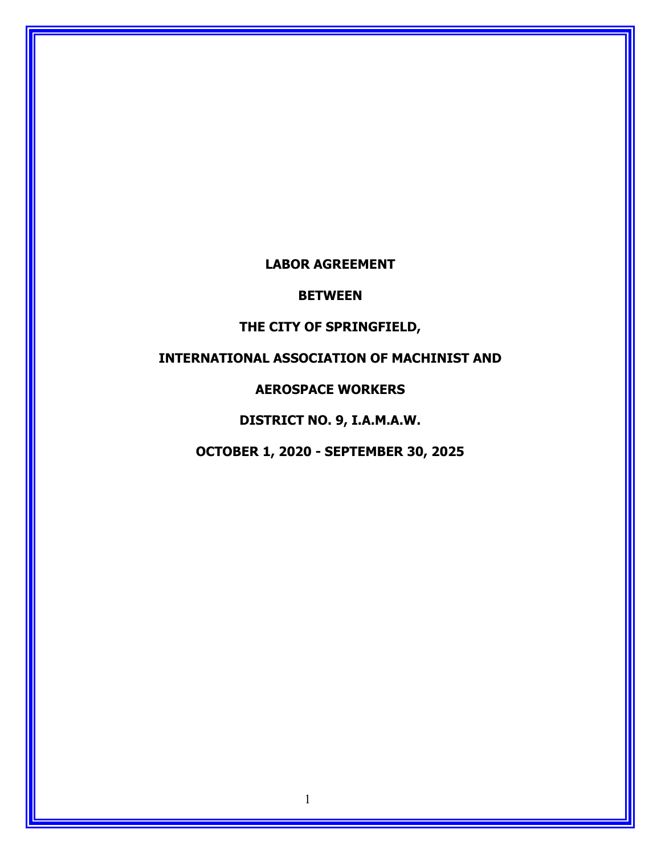# **LABOR AGREEMENT**

### **BETWEEN**

### **THE CITY OF SPRINGFIELD,**

# **INTERNATIONAL ASSOCIATION OF MACHINIST AND**

# **AEROSPACE WORKERS**

**DISTRICT NO. 9, I.A.M.A.W.**

**OCTOBER 1, 2020 - SEPTEMBER 30, 2025**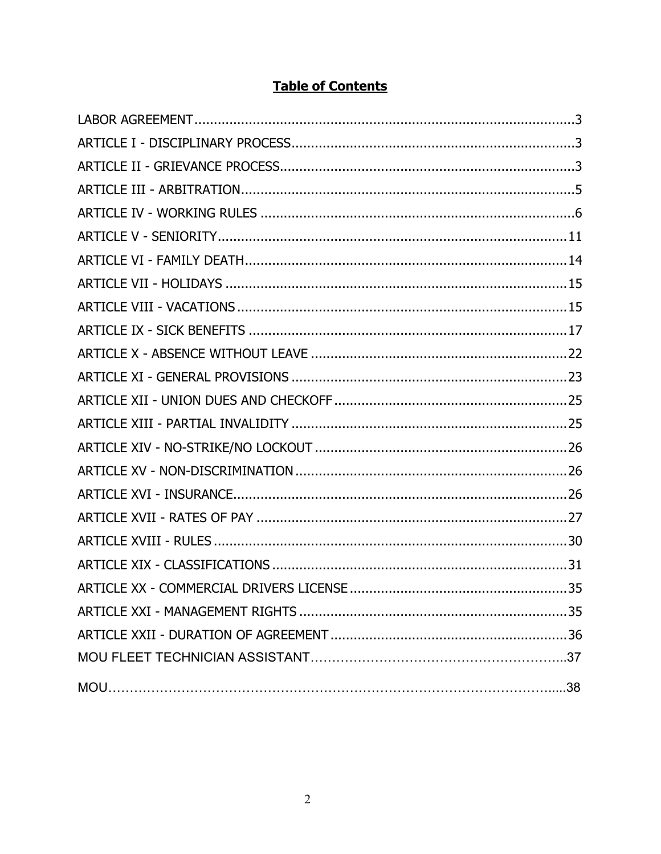# **Table of Contents**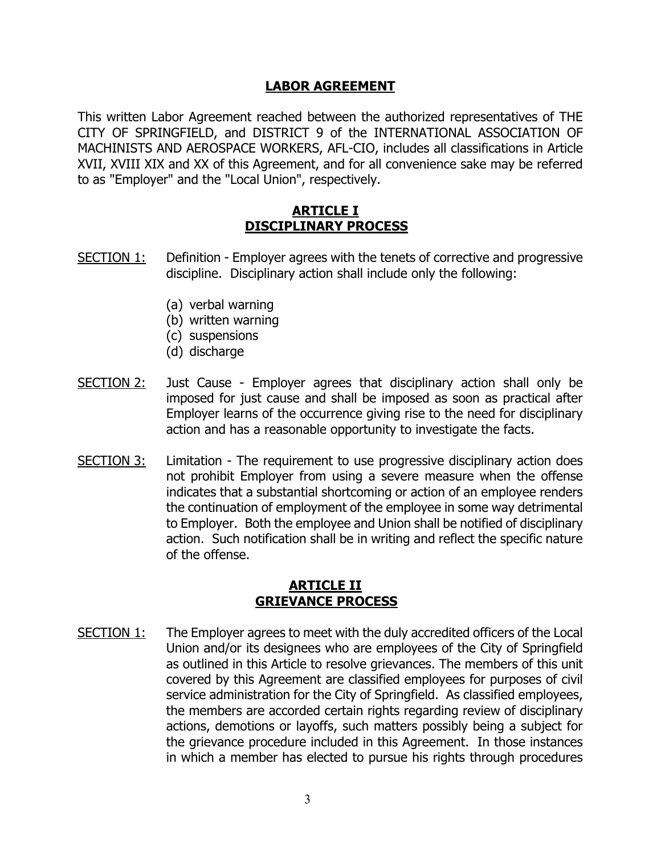### **LABOR AGREEMENT**

<span id="page-2-0"></span>This written Labor Agreement reached between the authorized representatives of THE CITY OF SPRINGFIELD, and DISTRICT 9 of the INTERNATIONAL ASSOCIATION OF MACHINISTS AND AEROSPACE WORKERS, AFL-CIO, includes all classifications in Article XVII, XVIII XIX and XX of this Agreement, and for all convenience sake may be referred to as "Employer" and the "Local Union", respectively.

# **ARTICLE I DISCIPLINARY PROCESS**

- <span id="page-2-1"></span>SECTION 1: Definition - Employer agrees with the tenets of corrective and progressive discipline. Disciplinary action shall include only the following:
	- (a) verbal warning
	- (b) written warning
	- (c) suspensions
	- (d) discharge
- SECTION 2: Just Cause Employer agrees that disciplinary action shall only be imposed for just cause and shall be imposed as soon as practical after Employer learns of the occurrence giving rise to the need for disciplinary action and has a reasonable opportunity to investigate the facts.
- SECTION 3: Limitation The requirement to use progressive disciplinary action does not prohibit Employer from using a severe measure when the offense indicates that a substantial shortcoming or action of an employee renders the continuation of employment of the employee in some way detrimental to Employer. Both the employee and Union shall be notified of disciplinary action. Such notification shall be in writing and reflect the specific nature of the offense.

### **ARTICLE II - GRIEVANCE PROCESS**

<span id="page-2-2"></span>SECTION 1: The Employer agrees to meet with the duly accredited officers of the Local Union and/or its designees who are employees of the City of Springfield as outlined in this Article to resolve grievances. The members of this unit covered by this Agreement are classified employees for purposes of civil service administration for the City of Springfield. As classified employees, the members are accorded certain rights regarding review of disciplinary actions, demotions or layoffs, such matters possibly being a subject for the grievance procedure included in this Agreement. In those instances in which a member has elected to pursue his rights through procedures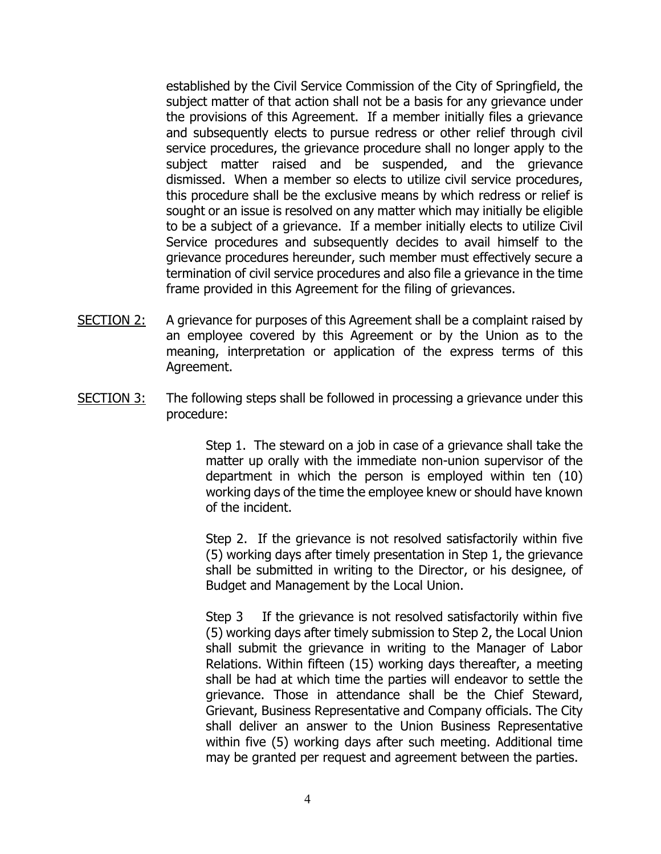established by the Civil Service Commission of the City of Springfield, the subject matter of that action shall not be a basis for any grievance under the provisions of this Agreement. If a member initially files a grievance and subsequently elects to pursue redress or other relief through civil service procedures, the grievance procedure shall no longer apply to the subject matter raised and be suspended, and the grievance dismissed. When a member so elects to utilize civil service procedures, this procedure shall be the exclusive means by which redress or relief is sought or an issue is resolved on any matter which may initially be eligible to be a subject of a grievance. If a member initially elects to utilize Civil Service procedures and subsequently decides to avail himself to the grievance procedures hereunder, such member must effectively secure a termination of civil service procedures and also file a grievance in the time frame provided in this Agreement for the filing of grievances.

- SECTION 2: A grievance for purposes of this Agreement shall be a complaint raised by an employee covered by this Agreement or by the Union as to the meaning, interpretation or application of the express terms of this Agreement.
- SECTION 3: The following steps shall be followed in processing a grievance under this procedure:

Step 1. The steward on a job in case of a grievance shall take the matter up orally with the immediate non-union supervisor of the department in which the person is employed within ten (10) working days of the time the employee knew or should have known of the incident.

Step 2. If the grievance is not resolved satisfactorily within five (5) working days after timely presentation in Step 1, the grievance shall be submitted in writing to the Director, or his designee, of Budget and Management by the Local Union.

Step 3 If the grievance is not resolved satisfactorily within five (5) working days after timely submission to Step 2, the Local Union shall submit the grievance in writing to the Manager of Labor Relations. Within fifteen (15) working days thereafter, a meeting shall be had at which time the parties will endeavor to settle the grievance. Those in attendance shall be the Chief Steward, Grievant, Business Representative and Company officials. The City shall deliver an answer to the Union Business Representative within five (5) working days after such meeting. Additional time may be granted per request and agreement between the parties.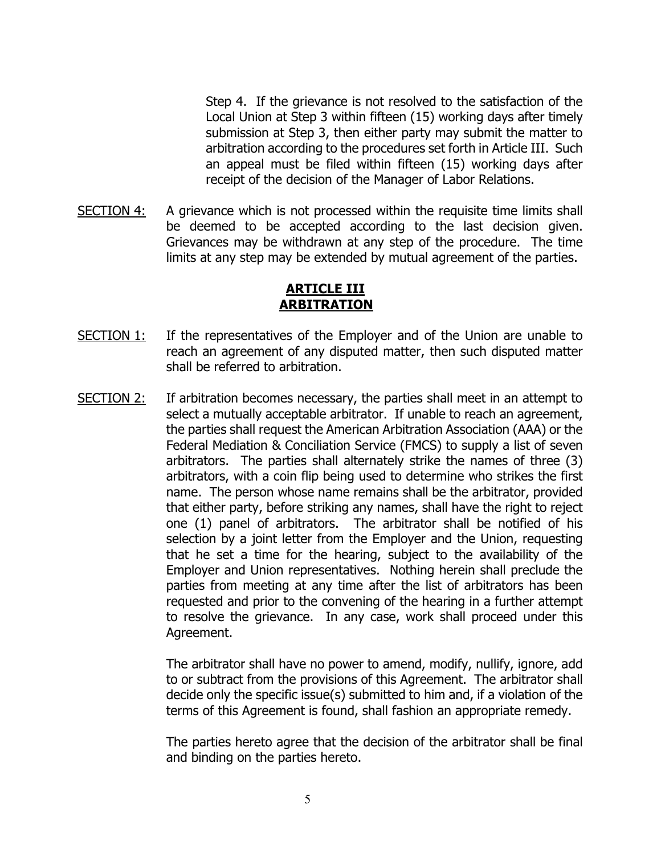Step 4. If the grievance is not resolved to the satisfaction of the Local Union at Step 3 within fifteen (15) working days after timely submission at Step 3, then either party may submit the matter to arbitration according to the procedures set forth in Article III. Such an appeal must be filed within fifteen (15) working days after receipt of the decision of the Manager of Labor Relations.

SECTION  $4$ : A grievance which is not processed within the requisite time limits shall be deemed to be accepted according to the last decision given. Grievances may be withdrawn at any step of the procedure. The time limits at any step may be extended by mutual agreement of the parties.

# **ARTICLE III - ARBITRATION**

- <span id="page-4-0"></span>SECTION 1: If the representatives of the Employer and of the Union are unable to reach an agreement of any disputed matter, then such disputed matter shall be referred to arbitration.
- SECTION 2: If arbitration becomes necessary, the parties shall meet in an attempt to select a mutually acceptable arbitrator. If unable to reach an agreement, the parties shall request the American Arbitration Association (AAA) or the Federal Mediation & Conciliation Service (FMCS) to supply a list of seven arbitrators. The parties shall alternately strike the names of three (3) arbitrators, with a coin flip being used to determine who strikes the first name. The person whose name remains shall be the arbitrator, provided that either party, before striking any names, shall have the right to reject one (1) panel of arbitrators. The arbitrator shall be notified of his selection by a joint letter from the Employer and the Union, requesting that he set a time for the hearing, subject to the availability of the Employer and Union representatives. Nothing herein shall preclude the parties from meeting at any time after the list of arbitrators has been requested and prior to the convening of the hearing in a further attempt to resolve the grievance. In any case, work shall proceed under this Agreement.

The arbitrator shall have no power to amend, modify, nullify, ignore, add to or subtract from the provisions of this Agreement. The arbitrator shall decide only the specific issue(s) submitted to him and, if a violation of the terms of this Agreement is found, shall fashion an appropriate remedy.

The parties hereto agree that the decision of the arbitrator shall be final and binding on the parties hereto.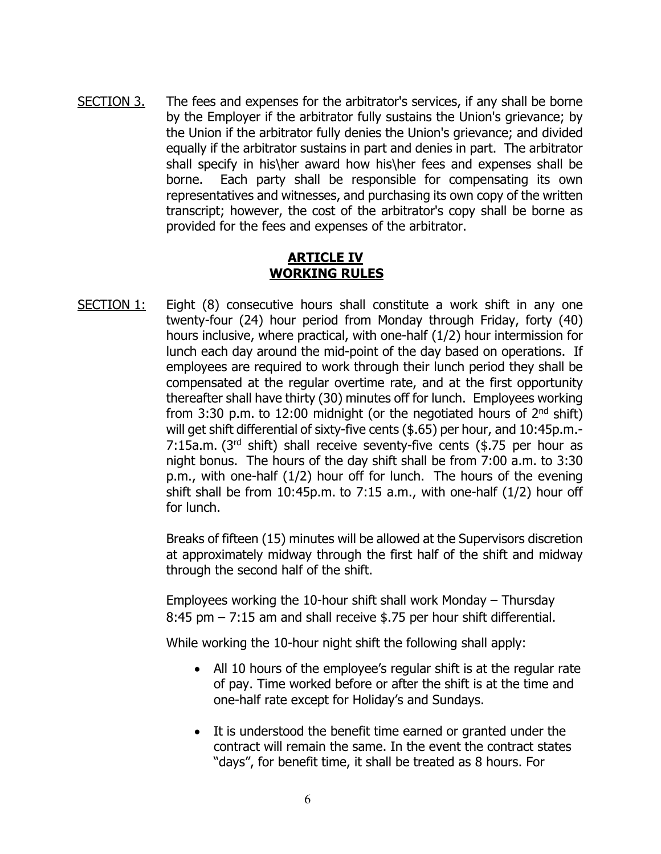SECTION 3. The fees and expenses for the arbitrator's services, if any shall be borne by the Employer if the arbitrator fully sustains the Union's grievance; by the Union if the arbitrator fully denies the Union's grievance; and divided equally if the arbitrator sustains in part and denies in part. The arbitrator shall specify in his\her award how his\her fees and expenses shall be borne. Each party shall be responsible for compensating its own representatives and witnesses, and purchasing its own copy of the written transcript; however, the cost of the arbitrator's copy shall be borne as provided for the fees and expenses of the arbitrator.

# **ARTICLE IV WORKING RULES**

<span id="page-5-0"></span>SECTION 1: Eight (8) consecutive hours shall constitute a work shift in any one twenty-four (24) hour period from Monday through Friday, forty (40) hours inclusive, where practical, with one-half (1/2) hour intermission for lunch each day around the mid-point of the day based on operations. If employees are required to work through their lunch period they shall be compensated at the regular overtime rate, and at the first opportunity thereafter shall have thirty (30) minutes off for lunch. Employees working from 3:30 p.m. to 12:00 midnight (or the negotiated hours of  $2<sup>nd</sup>$  shift) will get shift differential of sixty-five cents (\$.65) per hour, and 10:45p.m.- 7:15a.m. ( $3<sup>rd</sup>$  shift) shall receive seventy-five cents (\$.75 per hour as night bonus. The hours of the day shift shall be from 7:00 a.m. to 3:30 p.m., with one-half (1/2) hour off for lunch. The hours of the evening shift shall be from  $10:45p.m.$  to  $7:15$  a.m., with one-half  $(1/2)$  hour off for lunch.

> Breaks of fifteen (15) minutes will be allowed at the Supervisors discretion at approximately midway through the first half of the shift and midway through the second half of the shift.

Employees working the 10-hour shift shall work Monday – Thursday 8:45 pm – 7:15 am and shall receive \$.75 per hour shift differential.

While working the 10-hour night shift the following shall apply:

- All 10 hours of the employee's regular shift is at the regular rate of pay. Time worked before or after the shift is at the time and one-half rate except for Holiday's and Sundays.
- It is understood the benefit time earned or granted under the contract will remain the same. In the event the contract states "days", for benefit time, it shall be treated as 8 hours. For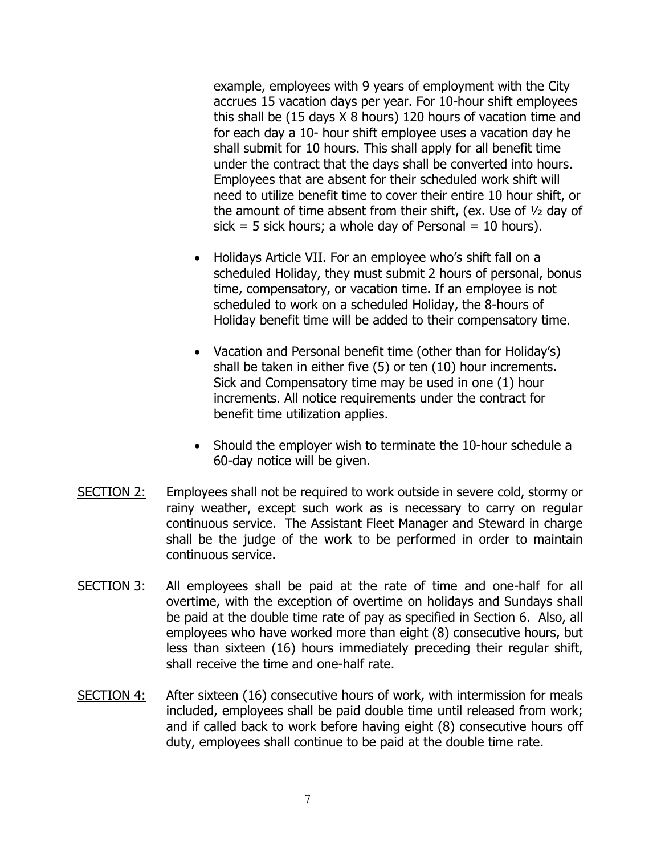example, employees with 9 years of employment with the City accrues 15 vacation days per year. For 10-hour shift employees this shall be (15 days X 8 hours) 120 hours of vacation time and for each day a 10- hour shift employee uses a vacation day he shall submit for 10 hours. This shall apply for all benefit time under the contract that the days shall be converted into hours. Employees that are absent for their scheduled work shift will need to utilize benefit time to cover their entire 10 hour shift, or the amount of time absent from their shift, (ex. Use of ½ day of sick = 5 sick hours; a whole day of Personal = 10 hours).

- Holidays Article VII. For an employee who's shift fall on a scheduled Holiday, they must submit 2 hours of personal, bonus time, compensatory, or vacation time. If an employee is not scheduled to work on a scheduled Holiday, the 8-hours of Holiday benefit time will be added to their compensatory time.
- Vacation and Personal benefit time (other than for Holiday's) shall be taken in either five (5) or ten (10) hour increments. Sick and Compensatory time may be used in one (1) hour increments. All notice requirements under the contract for benefit time utilization applies.
- Should the employer wish to terminate the 10-hour schedule a 60-day notice will be given.
- SECTION 2: Employees shall not be required to work outside in severe cold, stormy or rainy weather, except such work as is necessary to carry on regular continuous service. The Assistant Fleet Manager and Steward in charge shall be the judge of the work to be performed in order to maintain continuous service.
- SECTION 3: All employees shall be paid at the rate of time and one-half for all overtime, with the exception of overtime on holidays and Sundays shall be paid at the double time rate of pay as specified in Section 6. Also, all employees who have worked more than eight (8) consecutive hours, but less than sixteen (16) hours immediately preceding their regular shift, shall receive the time and one-half rate.
- SECTION 4: After sixteen (16) consecutive hours of work, with intermission for meals included, employees shall be paid double time until released from work; and if called back to work before having eight (8) consecutive hours off duty, employees shall continue to be paid at the double time rate.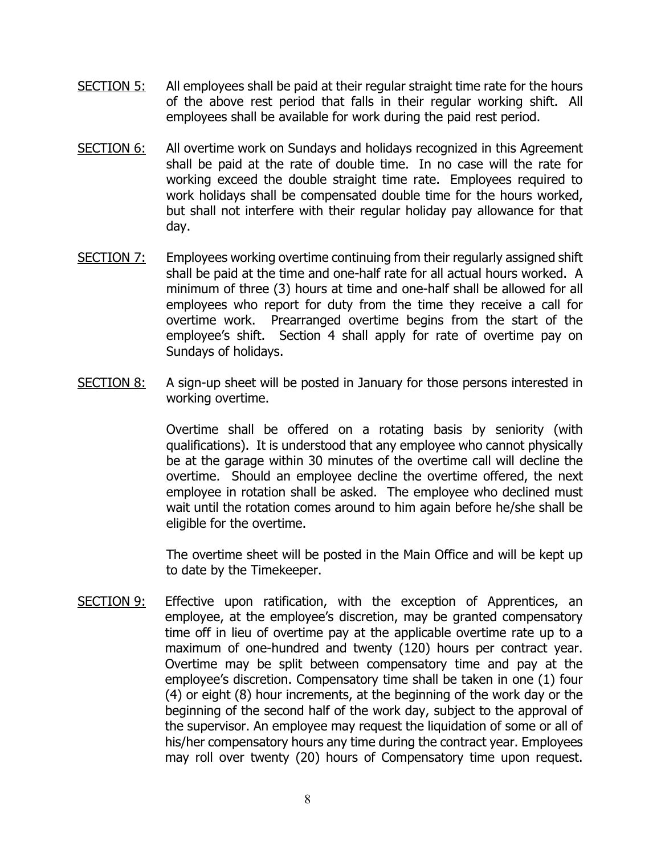- SECTION 5: All employees shall be paid at their regular straight time rate for the hours of the above rest period that falls in their regular working shift. All employees shall be available for work during the paid rest period.
- SECTION 6: All overtime work on Sundays and holidays recognized in this Agreement shall be paid at the rate of double time. In no case will the rate for working exceed the double straight time rate. Employees required to work holidays shall be compensated double time for the hours worked, but shall not interfere with their regular holiday pay allowance for that day.
- SECTION 7: Employees working overtime continuing from their regularly assigned shift shall be paid at the time and one-half rate for all actual hours worked. A minimum of three (3) hours at time and one-half shall be allowed for all employees who report for duty from the time they receive a call for overtime work. Prearranged overtime begins from the start of the employee's shift. Section 4 shall apply for rate of overtime pay on Sundays of holidays.
- SECTION 8: A sign-up sheet will be posted in January for those persons interested in working overtime.

Overtime shall be offered on a rotating basis by seniority (with qualifications). It is understood that any employee who cannot physically be at the garage within 30 minutes of the overtime call will decline the overtime. Should an employee decline the overtime offered, the next employee in rotation shall be asked. The employee who declined must wait until the rotation comes around to him again before he/she shall be eligible for the overtime.

The overtime sheet will be posted in the Main Office and will be kept up to date by the Timekeeper.

SECTION 9: Effective upon ratification, with the exception of Apprentices, an employee, at the employee's discretion, may be granted compensatory time off in lieu of overtime pay at the applicable overtime rate up to a maximum of one-hundred and twenty (120) hours per contract year. Overtime may be split between compensatory time and pay at the employee's discretion. Compensatory time shall be taken in one (1) four (4) or eight (8) hour increments, at the beginning of the work day or the beginning of the second half of the work day, subject to the approval of the supervisor. An employee may request the liquidation of some or all of his/her compensatory hours any time during the contract year. Employees may roll over twenty (20) hours of Compensatory time upon request.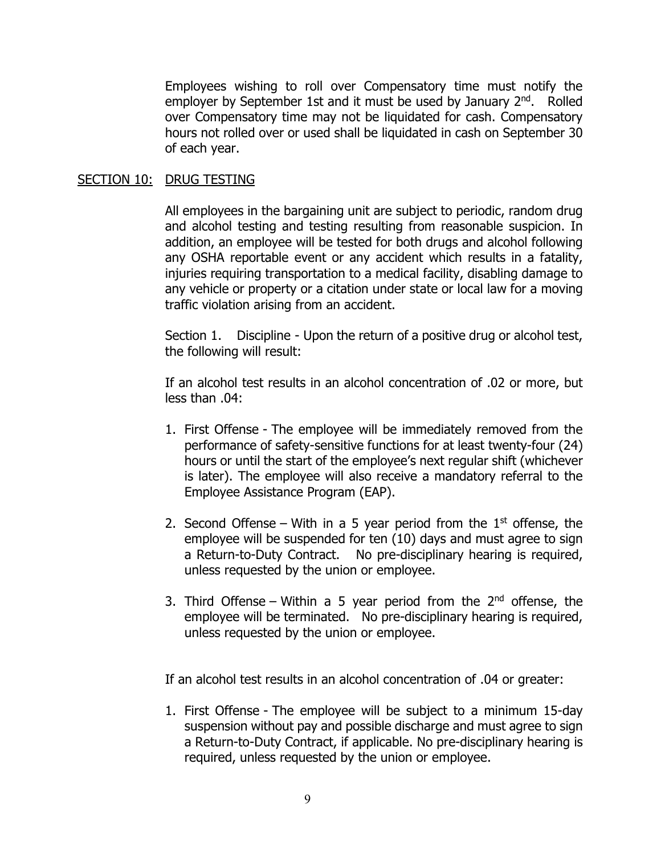Employees wishing to roll over Compensatory time must notify the employer by September 1st and it must be used by January 2<sup>nd</sup>. Rolled over Compensatory time may not be liquidated for cash. Compensatory hours not rolled over or used shall be liquidated in cash on September 30 of each year.

#### SECTION 10: DRUG TESTING

All employees in the bargaining unit are subject to periodic, random drug and alcohol testing and testing resulting from reasonable suspicion. In addition, an employee will be tested for both drugs and alcohol following any OSHA reportable event or any accident which results in a fatality, injuries requiring transportation to a medical facility, disabling damage to any vehicle or property or a citation under state or local law for a moving traffic violation arising from an accident.

Section 1. Discipline - Upon the return of a positive drug or alcohol test, the following will result:

If an alcohol test results in an alcohol concentration of .02 or more, but less than .04:

- 1. First Offense The employee will be immediately removed from the performance of safety-sensitive functions for at least twenty-four (24) hours or until the start of the employee's next regular shift (whichever is later). The employee will also receive a mandatory referral to the Employee Assistance Program (EAP).
- 2. Second Offense With in a 5 year period from the  $1<sup>st</sup>$  offense, the employee will be suspended for ten (10) days and must agree to sign a Return-to-Duty Contract. No pre-disciplinary hearing is required, unless requested by the union or employee.
- 3. Third Offense Within a 5 year period from the  $2<sup>nd</sup>$  offense, the employee will be terminated. No pre-disciplinary hearing is required, unless requested by the union or employee.

If an alcohol test results in an alcohol concentration of .04 or greater:

1. First Offense - The employee will be subject to a minimum 15-day suspension without pay and possible discharge and must agree to sign a Return-to-Duty Contract, if applicable. No pre-disciplinary hearing is required, unless requested by the union or employee.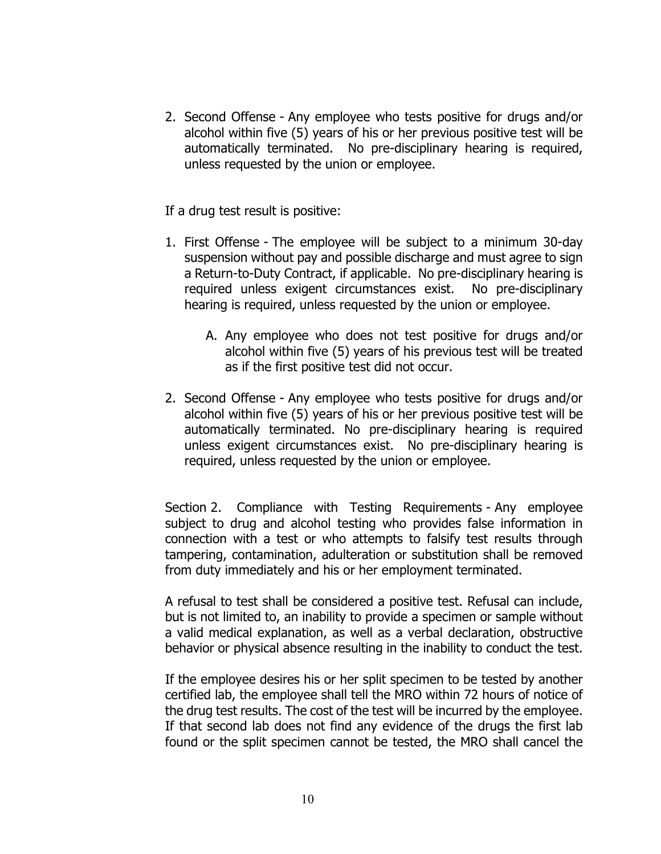2. Second Offense - Any employee who tests positive for drugs and/or alcohol within five (5) years of his or her previous positive test will be automatically terminated. No pre-disciplinary hearing is required, unless requested by the union or employee.

If a drug test result is positive:

- 1. First Offense The employee will be subject to a minimum 30-day suspension without pay and possible discharge and must agree to sign a Return-to-Duty Contract, if applicable. No pre-disciplinary hearing is required unless exigent circumstances exist. No pre-disciplinary hearing is required, unless requested by the union or employee.
	- A. Any employee who does not test positive for drugs and/or alcohol within five (5) years of his previous test will be treated as if the first positive test did not occur.
- 2. Second Offense Any employee who tests positive for drugs and/or alcohol within five (5) years of his or her previous positive test will be automatically terminated. No pre-disciplinary hearing is required unless exigent circumstances exist. No pre-disciplinary hearing is required, unless requested by the union or employee.

Section 2. Compliance with Testing Requirements - Any employee subject to drug and alcohol testing who provides false information in connection with a test or who attempts to falsify test results through tampering, contamination, adulteration or substitution shall be removed from duty immediately and his or her employment terminated.

A refusal to test shall be considered a positive test. Refusal can include, but is not limited to, an inability to provide a specimen or sample without a valid medical explanation, as well as a verbal declaration, obstructive behavior or physical absence resulting in the inability to conduct the test.

If the employee desires his or her split specimen to be tested by another certified lab, the employee shall tell the MRO within 72 hours of notice of the drug test results. The cost of the test will be incurred by the employee. If that second lab does not find any evidence of the drugs the first lab found or the split specimen cannot be tested, the MRO shall cancel the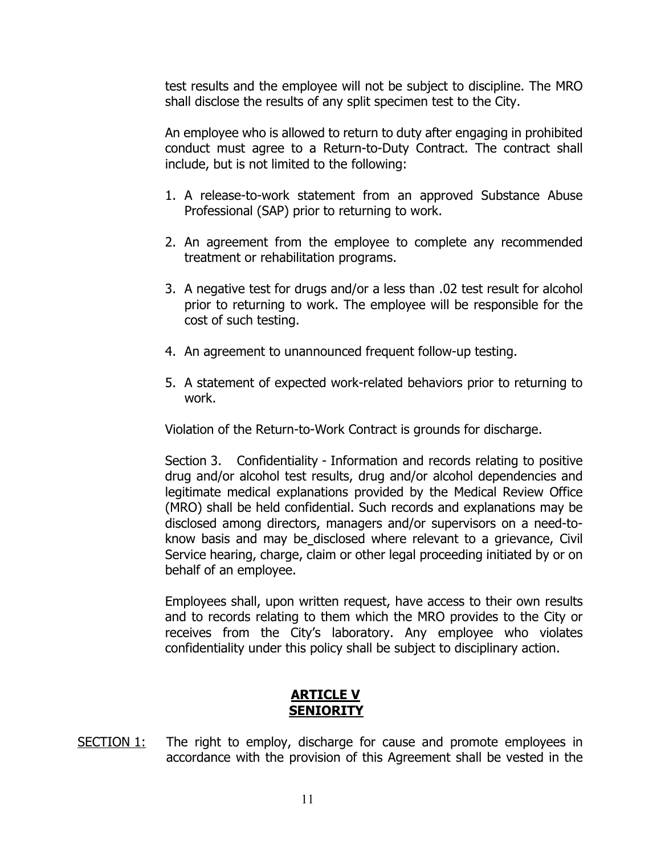test results and the employee will not be subject to discipline. The MRO shall disclose the results of any split specimen test to the City.

An employee who is allowed to return to duty after engaging in prohibited conduct must agree to a Return-to-Duty Contract. The contract shall include, but is not limited to the following:

- 1. A release-to-work statement from an approved Substance Abuse Professional (SAP) prior to returning to work.
- 2. An agreement from the employee to complete any recommended treatment or rehabilitation programs.
- 3. A negative test for drugs and/or a less than .02 test result for alcohol prior to returning to work. The employee will be responsible for the cost of such testing.
- 4. An agreement to unannounced frequent follow-up testing.
- 5. A statement of expected work-related behaviors prior to returning to work.

Violation of the Return-to-Work Contract is grounds for discharge.

Section 3. Confidentiality - Information and records relating to positive drug and/or alcohol test results, drug and/or alcohol dependencies and legitimate medical explanations provided by the Medical Review Office (MRO) shall be held confidential. Such records and explanations may be disclosed among directors, managers and/or supervisors on a need-toknow basis and may be disclosed where relevant to a grievance, Civil Service hearing, charge, claim or other legal proceeding initiated by or on behalf of an employee.

Employees shall, upon written request, have access to their own results and to records relating to them which the MRO provides to the City or receives from the City's laboratory. Any employee who violates confidentiality under this policy shall be subject to disciplinary action.

# **ARTICLE V - SENIORITY**

<span id="page-10-0"></span>SECTION 1: The right to employ, discharge for cause and promote employees in accordance with the provision of this Agreement shall be vested in the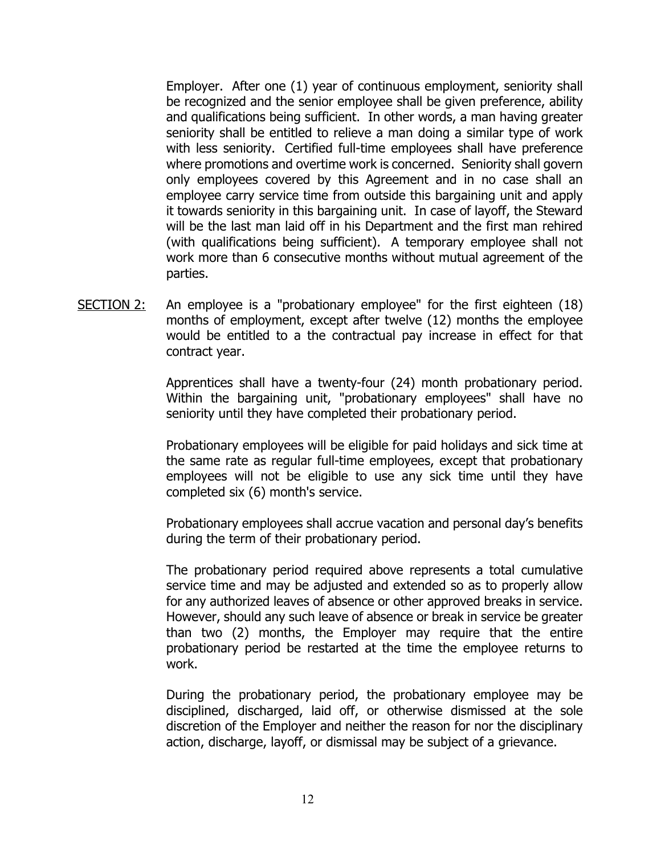Employer. After one (1) year of continuous employment, seniority shall be recognized and the senior employee shall be given preference, ability and qualifications being sufficient. In other words, a man having greater seniority shall be entitled to relieve a man doing a similar type of work with less seniority. Certified full-time employees shall have preference where promotions and overtime work is concerned. Seniority shall govern only employees covered by this Agreement and in no case shall an employee carry service time from outside this bargaining unit and apply it towards seniority in this bargaining unit. In case of layoff, the Steward will be the last man laid off in his Department and the first man rehired (with qualifications being sufficient). A temporary employee shall not work more than 6 consecutive months without mutual agreement of the parties.

SECTION 2: An employee is a "probationary employee" for the first eighteen (18) months of employment, except after twelve (12) months the employee would be entitled to a the contractual pay increase in effect for that contract year.

> Apprentices shall have a twenty-four (24) month probationary period. Within the bargaining unit, "probationary employees" shall have no seniority until they have completed their probationary period.

> Probationary employees will be eligible for paid holidays and sick time at the same rate as regular full-time employees, except that probationary employees will not be eligible to use any sick time until they have completed six (6) month's service.

> Probationary employees shall accrue vacation and personal day's benefits during the term of their probationary period.

> The probationary period required above represents a total cumulative service time and may be adjusted and extended so as to properly allow for any authorized leaves of absence or other approved breaks in service. However, should any such leave of absence or break in service be greater than two (2) months, the Employer may require that the entire probationary period be restarted at the time the employee returns to work.

> During the probationary period, the probationary employee may be disciplined, discharged, laid off, or otherwise dismissed at the sole discretion of the Employer and neither the reason for nor the disciplinary action, discharge, layoff, or dismissal may be subject of a grievance.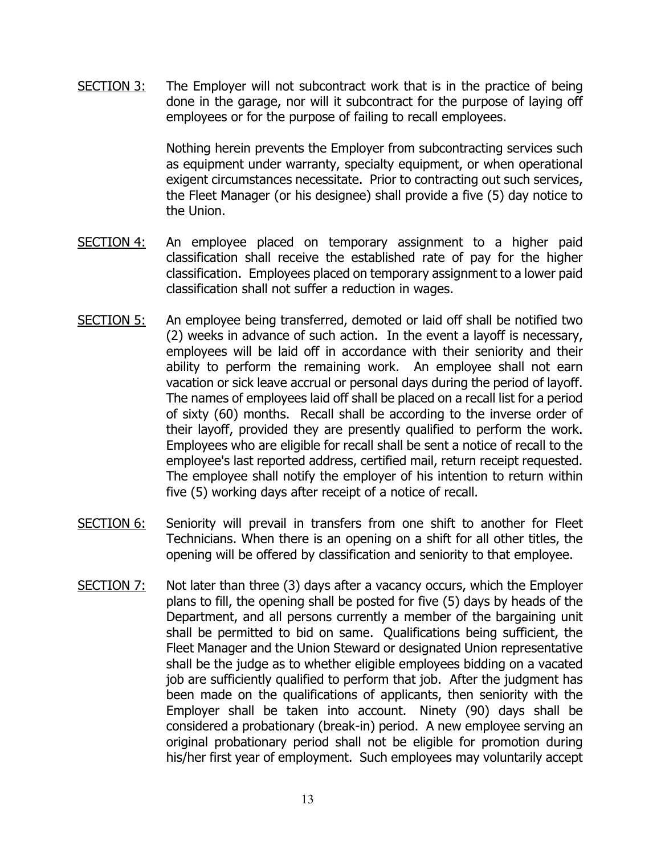SECTION 3: The Employer will not subcontract work that is in the practice of being done in the garage, nor will it subcontract for the purpose of laying off employees or for the purpose of failing to recall employees.

> Nothing herein prevents the Employer from subcontracting services such as equipment under warranty, specialty equipment, or when operational exigent circumstances necessitate. Prior to contracting out such services, the Fleet Manager (or his designee) shall provide a five (5) day notice to the Union.

- SECTION 4: An employee placed on temporary assignment to a higher paid classification shall receive the established rate of pay for the higher classification. Employees placed on temporary assignment to a lower paid classification shall not suffer a reduction in wages.
- SECTION 5: An employee being transferred, demoted or laid off shall be notified two (2) weeks in advance of such action. In the event a layoff is necessary, employees will be laid off in accordance with their seniority and their ability to perform the remaining work. An employee shall not earn vacation or sick leave accrual or personal days during the period of layoff. The names of employees laid off shall be placed on a recall list for a period of sixty (60) months. Recall shall be according to the inverse order of their layoff, provided they are presently qualified to perform the work. Employees who are eligible for recall shall be sent a notice of recall to the employee's last reported address, certified mail, return receipt requested. The employee shall notify the employer of his intention to return within five (5) working days after receipt of a notice of recall.
- SECTION 6: Seniority will prevail in transfers from one shift to another for Fleet Technicians. When there is an opening on a shift for all other titles, the opening will be offered by classification and seniority to that employee.
- $SECTION 7:$  Not later than three (3) days after a vacancy occurs, which the Employer plans to fill, the opening shall be posted for five (5) days by heads of the Department, and all persons currently a member of the bargaining unit shall be permitted to bid on same. Qualifications being sufficient, the Fleet Manager and the Union Steward or designated Union representative shall be the judge as to whether eligible employees bidding on a vacated job are sufficiently qualified to perform that job. After the judgment has been made on the qualifications of applicants, then seniority with the Employer shall be taken into account. Ninety (90) days shall be considered a probationary (break-in) period. A new employee serving an original probationary period shall not be eligible for promotion during his/her first year of employment. Such employees may voluntarily accept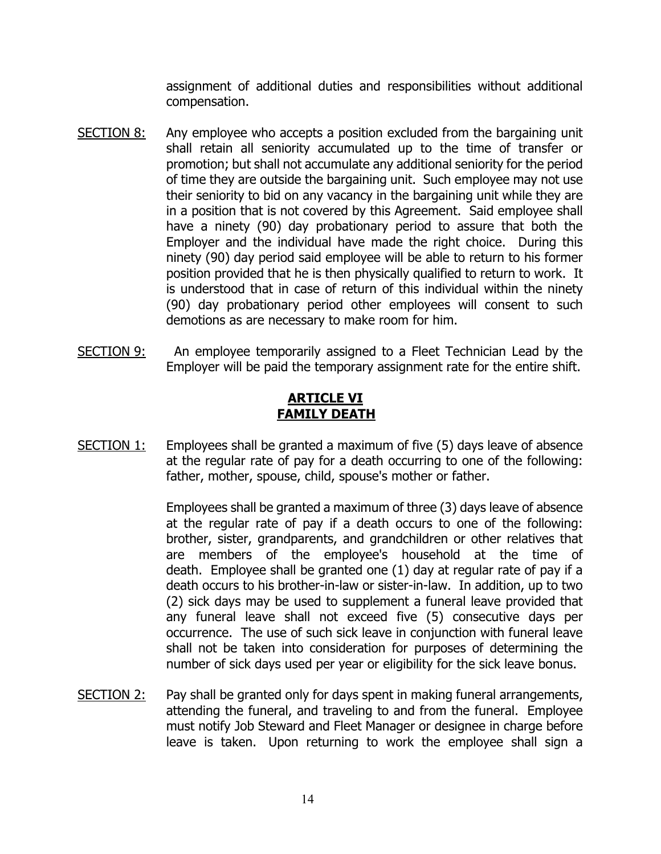assignment of additional duties and responsibilities without additional compensation.

- SECTION 8: Any employee who accepts a position excluded from the bargaining unit shall retain all seniority accumulated up to the time of transfer or promotion; but shall not accumulate any additional seniority for the period of time they are outside the bargaining unit. Such employee may not use their seniority to bid on any vacancy in the bargaining unit while they are in a position that is not covered by this Agreement. Said employee shall have a ninety (90) day probationary period to assure that both the Employer and the individual have made the right choice. During this ninety (90) day period said employee will be able to return to his former position provided that he is then physically qualified to return to work. It is understood that in case of return of this individual within the ninety (90) day probationary period other employees will consent to such demotions as are necessary to make room for him.
- <span id="page-13-0"></span>SECTION 9: An employee temporarily assigned to a Fleet Technician Lead by the Employer will be paid the temporary assignment rate for the entire shift.

# **ARTICLE VI FAMILY DEATH**

SECTION 1: Employees shall be granted a maximum of five (5) days leave of absence at the regular rate of pay for a death occurring to one of the following: father, mother, spouse, child, spouse's mother or father.

> Employees shall be granted a maximum of three (3) days leave of absence at the regular rate of pay if a death occurs to one of the following: brother, sister, grandparents, and grandchildren or other relatives that are members of the employee's household at the time of death. Employee shall be granted one (1) day at regular rate of pay if a death occurs to his brother-in-law or sister-in-law. In addition, up to two (2) sick days may be used to supplement a funeral leave provided that any funeral leave shall not exceed five (5) consecutive days per occurrence. The use of such sick leave in conjunction with funeral leave shall not be taken into consideration for purposes of determining the number of sick days used per year or eligibility for the sick leave bonus.

SECTION 2: Pay shall be granted only for days spent in making funeral arrangements, attending the funeral, and traveling to and from the funeral. Employee must notify Job Steward and Fleet Manager or designee in charge before leave is taken. Upon returning to work the employee shall sign a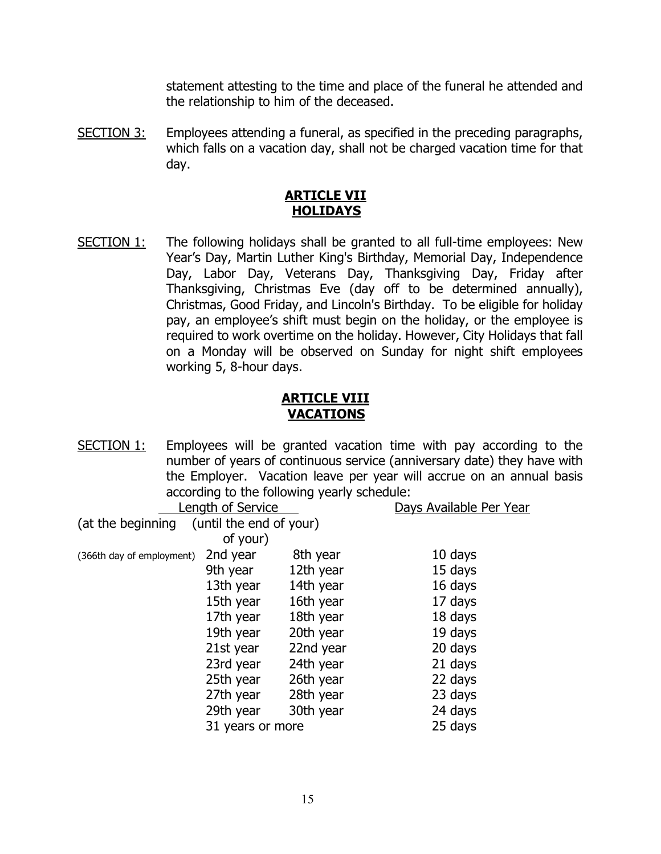statement attesting to the time and place of the funeral he attended and the relationship to him of the deceased.

SECTION 3: Employees attending a funeral, as specified in the preceding paragraphs, which falls on a vacation day, shall not be charged vacation time for that day.

# **ARTICLE VII HOLIDAYS**

<span id="page-14-0"></span>SECTION 1: The following holidays shall be granted to all full-time employees: New Year's Day, Martin Luther King's Birthday, Memorial Day, Independence Day, Labor Day, Veterans Day, Thanksgiving Day, Friday after Thanksgiving, Christmas Eve (day off to be determined annually), Christmas, Good Friday, and Lincoln's Birthday. To be eligible for holiday pay, an employee's shift must begin on the holiday, or the employee is required to work overtime on the holiday. However, City Holidays that fall on a Monday will be observed on Sunday for night shift employees working 5, 8-hour days.

# **ARTICLE VIII VACATIONS**

<span id="page-14-1"></span>SECTION 1: Employees will be granted vacation time with pay according to the number of years of continuous service (anniversary date) they have with the Employer. Vacation leave per year will accrue on an annual basis according to the following yearly schedule:

|                           | Length of Service       |           | Days Available Per Year |
|---------------------------|-------------------------|-----------|-------------------------|
| (at the beginning         | (until the end of your) |           |                         |
|                           | of your)                |           |                         |
| (366th day of employment) | 2nd year                | 8th year  | 10 days                 |
|                           | 9th year                | 12th year | 15 days                 |
|                           | 13th year               | 14th year | 16 days                 |
|                           | 15th year               | 16th year | 17 days                 |
|                           | 17th year               | 18th year | 18 days                 |
|                           | 19th year               | 20th year | 19 days                 |
|                           | 21st year               | 22nd year | 20 days                 |
|                           | 23rd year               | 24th year | 21 days                 |
|                           | 25th year               | 26th year | 22 days                 |
|                           | 27th year               | 28th year | 23 days                 |
|                           | 29th year               | 30th year | 24 days                 |
|                           | 31 years or more        |           | 25 days                 |
|                           |                         |           |                         |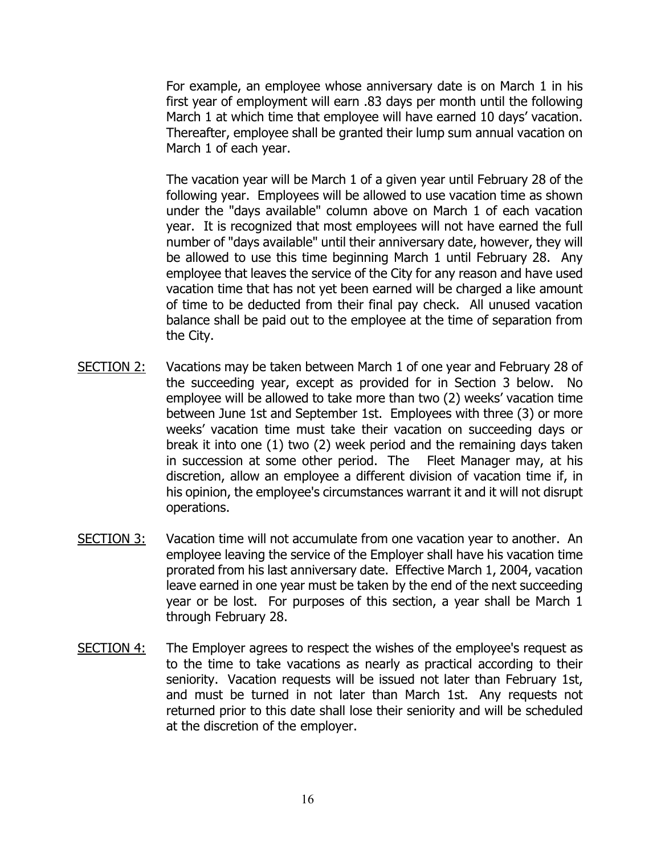For example, an employee whose anniversary date is on March 1 in his first year of employment will earn .83 days per month until the following March 1 at which time that employee will have earned 10 days' vacation. Thereafter, employee shall be granted their lump sum annual vacation on March 1 of each year.

The vacation year will be March 1 of a given year until February 28 of the following year. Employees will be allowed to use vacation time as shown under the "days available" column above on March 1 of each vacation year. It is recognized that most employees will not have earned the full number of "days available" until their anniversary date, however, they will be allowed to use this time beginning March 1 until February 28. Any employee that leaves the service of the City for any reason and have used vacation time that has not yet been earned will be charged a like amount of time to be deducted from their final pay check. All unused vacation balance shall be paid out to the employee at the time of separation from the City.

- SECTION 2: Vacations may be taken between March 1 of one year and February 28 of the succeeding year, except as provided for in Section 3 below. No employee will be allowed to take more than two (2) weeks' vacation time between June 1st and September 1st. Employees with three (3) or more weeks' vacation time must take their vacation on succeeding days or break it into one (1) two (2) week period and the remaining days taken in succession at some other period. The Fleet Manager may, at his discretion, allow an employee a different division of vacation time if, in his opinion, the employee's circumstances warrant it and it will not disrupt operations.
- SECTION 3: Vacation time will not accumulate from one vacation year to another. An employee leaving the service of the Employer shall have his vacation time prorated from his last anniversary date. Effective March 1, 2004, vacation leave earned in one year must be taken by the end of the next succeeding year or be lost. For purposes of this section, a year shall be March 1 through February 28.
- SECTION 4: The Employer agrees to respect the wishes of the employee's request as to the time to take vacations as nearly as practical according to their seniority. Vacation requests will be issued not later than February 1st, and must be turned in not later than March 1st. Any requests not returned prior to this date shall lose their seniority and will be scheduled at the discretion of the employer.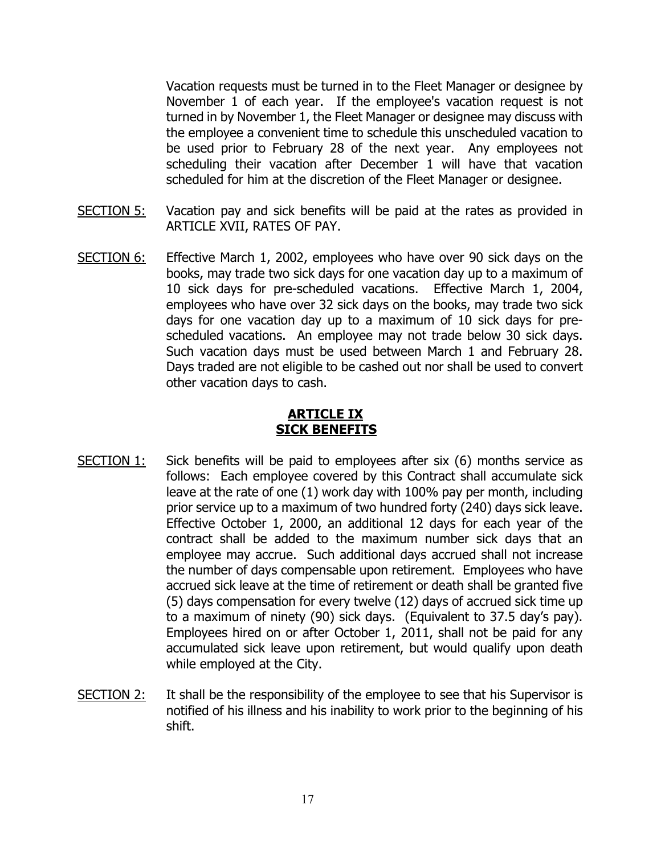Vacation requests must be turned in to the Fleet Manager or designee by November 1 of each year. If the employee's vacation request is not turned in by November 1, the Fleet Manager or designee may discuss with the employee a convenient time to schedule this unscheduled vacation to be used prior to February 28 of the next year. Any employees not scheduling their vacation after December 1 will have that vacation scheduled for him at the discretion of the Fleet Manager or designee.

- SECTION 5: Vacation pay and sick benefits will be paid at the rates as provided in ARTICLE XVII, RATES OF PAY.
- SECTION 6: Effective March 1, 2002, employees who have over 90 sick days on the books, may trade two sick days for one vacation day up to a maximum of 10 sick days for pre-scheduled vacations. Effective March 1, 2004, employees who have over 32 sick days on the books, may trade two sick days for one vacation day up to a maximum of 10 sick days for prescheduled vacations. An employee may not trade below 30 sick days. Such vacation days must be used between March 1 and February 28. Days traded are not eligible to be cashed out nor shall be used to convert other vacation days to cash.

# **ARTICLE IX SICK BENEFITS**

- <span id="page-16-0"></span>SECTION 1: Sick benefits will be paid to employees after six (6) months service as follows: Each employee covered by this Contract shall accumulate sick leave at the rate of one (1) work day with 100% pay per month, including prior service up to a maximum of two hundred forty (240) days sick leave. Effective October 1, 2000, an additional 12 days for each year of the contract shall be added to the maximum number sick days that an employee may accrue. Such additional days accrued shall not increase the number of days compensable upon retirement. Employees who have accrued sick leave at the time of retirement or death shall be granted five (5) days compensation for every twelve (12) days of accrued sick time up to a maximum of ninety (90) sick days. (Equivalent to 37.5 day's pay). Employees hired on or after October 1, 2011, shall not be paid for any accumulated sick leave upon retirement, but would qualify upon death while employed at the City.
- SECTION 2: It shall be the responsibility of the employee to see that his Supervisor is notified of his illness and his inability to work prior to the beginning of his shift.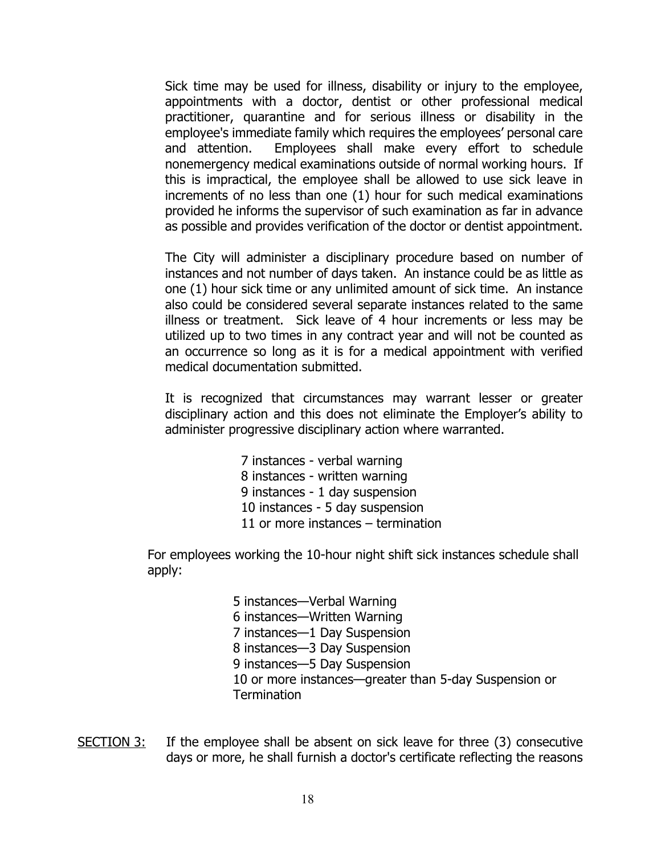Sick time may be used for illness, disability or injury to the employee, appointments with a doctor, dentist or other professional medical practitioner, quarantine and for serious illness or disability in the employee's immediate family which requires the employees' personal care and attention. Employees shall make every effort to schedule nonemergency medical examinations outside of normal working hours. If this is impractical, the employee shall be allowed to use sick leave in increments of no less than one (1) hour for such medical examinations provided he informs the supervisor of such examination as far in advance as possible and provides verification of the doctor or dentist appointment.

The City will administer a disciplinary procedure based on number of instances and not number of days taken. An instance could be as little as one (1) hour sick time or any unlimited amount of sick time. An instance also could be considered several separate instances related to the same illness or treatment. Sick leave of 4 hour increments or less may be utilized up to two times in any contract year and will not be counted as an occurrence so long as it is for a medical appointment with verified medical documentation submitted.

It is recognized that circumstances may warrant lesser or greater disciplinary action and this does not eliminate the Employer's ability to administer progressive disciplinary action where warranted.

> 7 instances - verbal warning 8 instances - written warning 9 instances - 1 day suspension 10 instances - 5 day suspension 11 or more instances – termination

For employees working the 10-hour night shift sick instances schedule shall apply:

> 5 instances—Verbal Warning 6 instances—Written Warning 7 instances—1 Day Suspension 8 instances—3 Day Suspension 9 instances—5 Day Suspension 10 or more instances—greater than 5-day Suspension or **Termination**

 $SECTION 3:$  If the employee shall be absent on sick leave for three  $(3)$  consecutive days or more, he shall furnish a doctor's certificate reflecting the reasons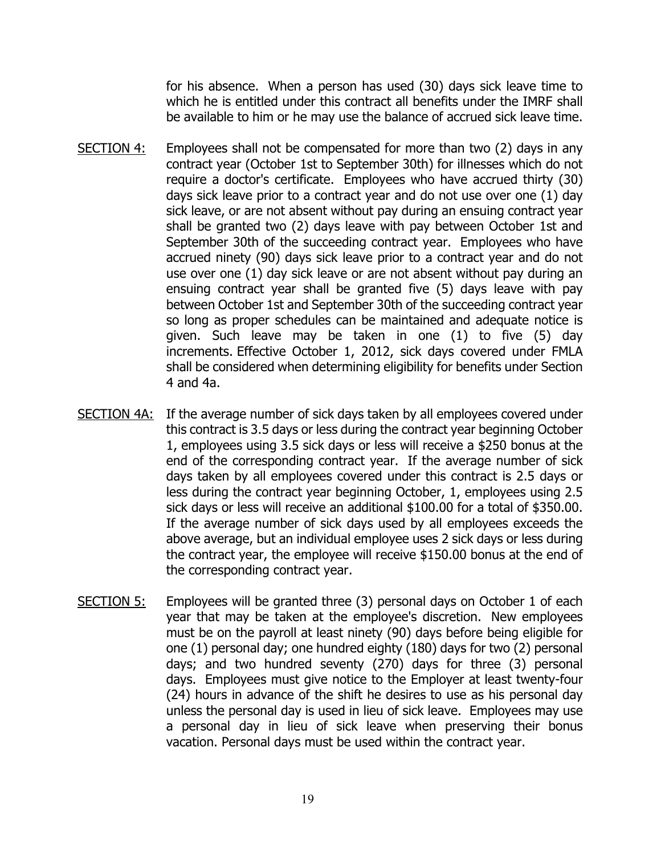for his absence. When a person has used (30) days sick leave time to which he is entitled under this contract all benefits under the IMRF shall be available to him or he may use the balance of accrued sick leave time.

- SECTION 4: Employees shall not be compensated for more than two (2) days in any contract year (October 1st to September 30th) for illnesses which do not require a doctor's certificate. Employees who have accrued thirty (30) days sick leave prior to a contract year and do not use over one (1) day sick leave, or are not absent without pay during an ensuing contract year shall be granted two (2) days leave with pay between October 1st and September 30th of the succeeding contract year. Employees who have accrued ninety (90) days sick leave prior to a contract year and do not use over one (1) day sick leave or are not absent without pay during an ensuing contract year shall be granted five (5) days leave with pay between October 1st and September 30th of the succeeding contract year so long as proper schedules can be maintained and adequate notice is given. Such leave may be taken in one (1) to five (5) day increments. Effective October 1, 2012, sick days covered under FMLA shall be considered when determining eligibility for benefits under Section 4 and 4a.
- SECTION 4A: If the average number of sick days taken by all employees covered under this contract is 3.5 days or less during the contract year beginning October 1, employees using 3.5 sick days or less will receive a \$250 bonus at the end of the corresponding contract year. If the average number of sick days taken by all employees covered under this contract is 2.5 days or less during the contract year beginning October, 1, employees using 2.5 sick days or less will receive an additional \$100.00 for a total of \$350.00. If the average number of sick days used by all employees exceeds the above average, but an individual employee uses 2 sick days or less during the contract year, the employee will receive \$150.00 bonus at the end of the corresponding contract year.
- SECTION  $5$ : Employees will be granted three (3) personal days on October 1 of each year that may be taken at the employee's discretion. New employees must be on the payroll at least ninety (90) days before being eligible for one (1) personal day; one hundred eighty (180) days for two (2) personal days; and two hundred seventy (270) days for three (3) personal days. Employees must give notice to the Employer at least twenty-four (24) hours in advance of the shift he desires to use as his personal day unless the personal day is used in lieu of sick leave. Employees may use a personal day in lieu of sick leave when preserving their bonus vacation. Personal days must be used within the contract year.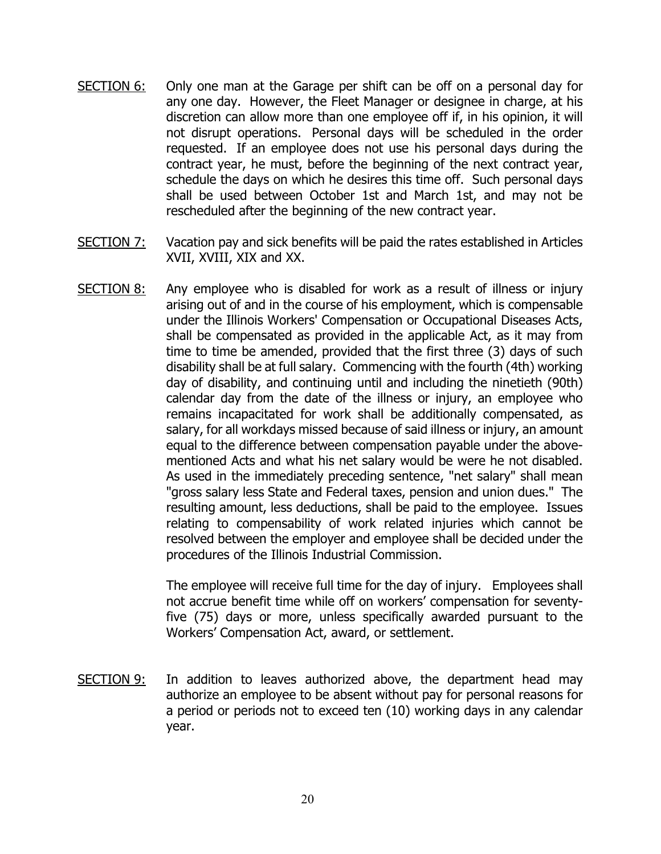- SECTION 6: Only one man at the Garage per shift can be off on a personal day for any one day. However, the Fleet Manager or designee in charge, at his discretion can allow more than one employee off if, in his opinion, it will not disrupt operations. Personal days will be scheduled in the order requested. If an employee does not use his personal days during the contract year, he must, before the beginning of the next contract year, schedule the days on which he desires this time off. Such personal days shall be used between October 1st and March 1st, and may not be rescheduled after the beginning of the new contract year.
- SECTION 7: Vacation pay and sick benefits will be paid the rates established in Articles XVII, XVIII, XIX and XX.
- SECTION 8: Any employee who is disabled for work as a result of illness or injury arising out of and in the course of his employment, which is compensable under the Illinois Workers' Compensation or Occupational Diseases Acts, shall be compensated as provided in the applicable Act, as it may from time to time be amended, provided that the first three (3) days of such disability shall be at full salary. Commencing with the fourth (4th) working day of disability, and continuing until and including the ninetieth (90th) calendar day from the date of the illness or injury, an employee who remains incapacitated for work shall be additionally compensated, as salary, for all workdays missed because of said illness or injury, an amount equal to the difference between compensation payable under the abovementioned Acts and what his net salary would be were he not disabled. As used in the immediately preceding sentence, "net salary" shall mean "gross salary less State and Federal taxes, pension and union dues." The resulting amount, less deductions, shall be paid to the employee. Issues relating to compensability of work related injuries which cannot be resolved between the employer and employee shall be decided under the procedures of the Illinois Industrial Commission.

The employee will receive full time for the day of injury. Employees shall not accrue benefit time while off on workers' compensation for seventyfive (75) days or more, unless specifically awarded pursuant to the Workers' Compensation Act, award, or settlement.

SECTION 9: In addition to leaves authorized above, the department head may authorize an employee to be absent without pay for personal reasons for a period or periods not to exceed ten (10) working days in any calendar year.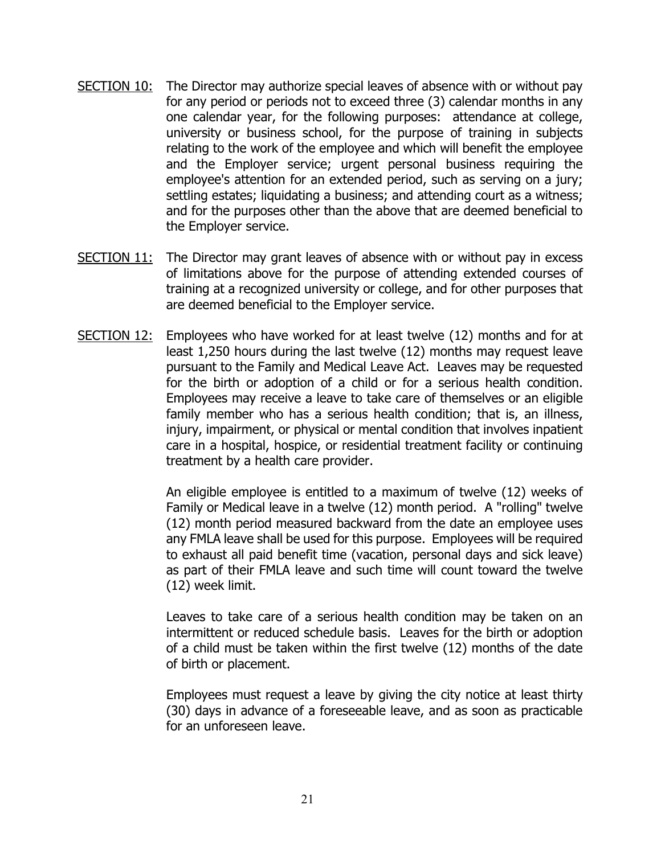- SECTION 10: The Director may authorize special leaves of absence with or without pay for any period or periods not to exceed three (3) calendar months in any one calendar year, for the following purposes: attendance at college, university or business school, for the purpose of training in subjects relating to the work of the employee and which will benefit the employee and the Employer service; urgent personal business requiring the employee's attention for an extended period, such as serving on a jury; settling estates; liquidating a business; and attending court as a witness; and for the purposes other than the above that are deemed beneficial to the Employer service.
- SECTION 11: The Director may grant leaves of absence with or without pay in excess of limitations above for the purpose of attending extended courses of training at a recognized university or college, and for other purposes that are deemed beneficial to the Employer service.
- SECTION 12: Employees who have worked for at least twelve (12) months and for at least 1,250 hours during the last twelve (12) months may request leave pursuant to the Family and Medical Leave Act. Leaves may be requested for the birth or adoption of a child or for a serious health condition. Employees may receive a leave to take care of themselves or an eligible family member who has a serious health condition; that is, an illness, injury, impairment, or physical or mental condition that involves inpatient care in a hospital, hospice, or residential treatment facility or continuing treatment by a health care provider.

An eligible employee is entitled to a maximum of twelve (12) weeks of Family or Medical leave in a twelve (12) month period. A "rolling" twelve (12) month period measured backward from the date an employee uses any FMLA leave shall be used for this purpose. Employees will be required to exhaust all paid benefit time (vacation, personal days and sick leave) as part of their FMLA leave and such time will count toward the twelve (12) week limit.

Leaves to take care of a serious health condition may be taken on an intermittent or reduced schedule basis. Leaves for the birth or adoption of a child must be taken within the first twelve (12) months of the date of birth or placement.

Employees must request a leave by giving the city notice at least thirty (30) days in advance of a foreseeable leave, and as soon as practicable for an unforeseen leave.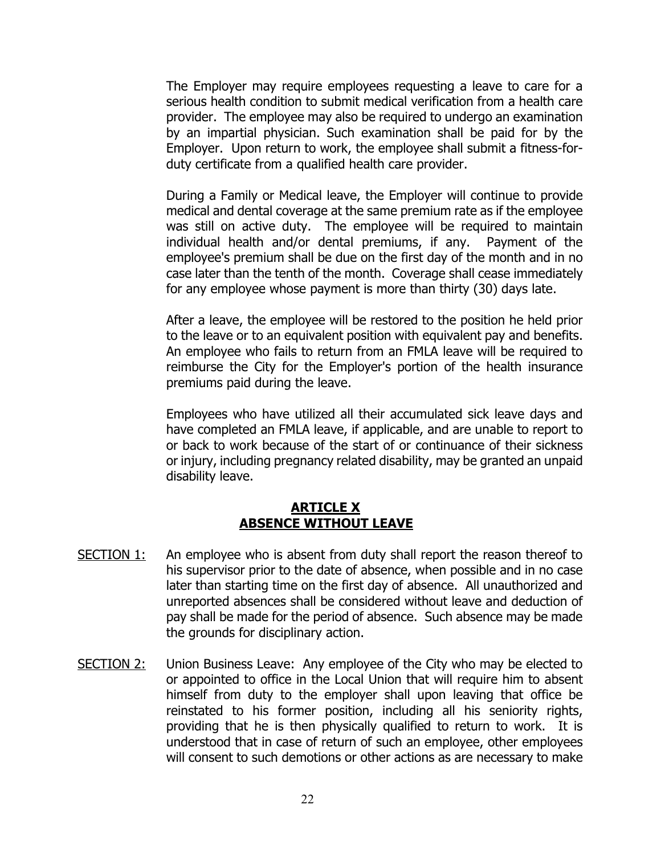The Employer may require employees requesting a leave to care for a serious health condition to submit medical verification from a health care provider. The employee may also be required to undergo an examination by an impartial physician. Such examination shall be paid for by the Employer. Upon return to work, the employee shall submit a fitness-forduty certificate from a qualified health care provider.

During a Family or Medical leave, the Employer will continue to provide medical and dental coverage at the same premium rate as if the employee was still on active duty. The employee will be required to maintain individual health and/or dental premiums, if any. Payment of the employee's premium shall be due on the first day of the month and in no case later than the tenth of the month. Coverage shall cease immediately for any employee whose payment is more than thirty (30) days late.

After a leave, the employee will be restored to the position he held prior to the leave or to an equivalent position with equivalent pay and benefits. An employee who fails to return from an FMLA leave will be required to reimburse the City for the Employer's portion of the health insurance premiums paid during the leave.

Employees who have utilized all their accumulated sick leave days and have completed an FMLA leave, if applicable, and are unable to report to or back to work because of the start of or continuance of their sickness or injury, including pregnancy related disability, may be granted an unpaid disability leave.

### **ARTICLE X - ABSENCE WITHOUT LEAVE**

- <span id="page-21-0"></span>SECTION 1: An employee who is absent from duty shall report the reason thereof to his supervisor prior to the date of absence, when possible and in no case later than starting time on the first day of absence. All unauthorized and unreported absences shall be considered without leave and deduction of pay shall be made for the period of absence. Such absence may be made the grounds for disciplinary action.
- SECTION 2: Union Business Leave: Any employee of the City who may be elected to or appointed to office in the Local Union that will require him to absent himself from duty to the employer shall upon leaving that office be reinstated to his former position, including all his seniority rights, providing that he is then physically qualified to return to work. It is understood that in case of return of such an employee, other employees will consent to such demotions or other actions as are necessary to make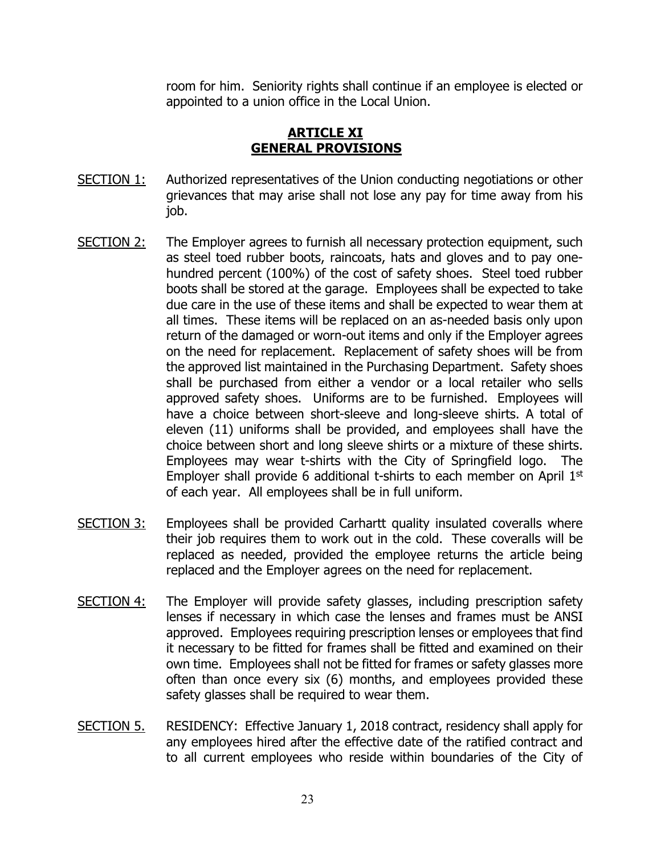room for him. Seniority rights shall continue if an employee is elected or appointed to a union office in the Local Union.

# **ARTICLE XI - GENERAL PROVISIONS**

- <span id="page-22-0"></span>SECTION 1: Authorized representatives of the Union conducting negotiations or other grievances that may arise shall not lose any pay for time away from his job.
- SECTION 2: The Employer agrees to furnish all necessary protection equipment, such as steel toed rubber boots, raincoats, hats and gloves and to pay onehundred percent (100%) of the cost of safety shoes. Steel toed rubber boots shall be stored at the garage. Employees shall be expected to take due care in the use of these items and shall be expected to wear them at all times. These items will be replaced on an as-needed basis only upon return of the damaged or worn-out items and only if the Employer agrees on the need for replacement. Replacement of safety shoes will be from the approved list maintained in the Purchasing Department. Safety shoes shall be purchased from either a vendor or a local retailer who sells approved safety shoes. Uniforms are to be furnished. Employees will have a choice between short-sleeve and long-sleeve shirts. A total of eleven (11) uniforms shall be provided, and employees shall have the choice between short and long sleeve shirts or a mixture of these shirts. Employees may wear t-shirts with the City of Springfield logo. The Employer shall provide 6 additional t-shirts to each member on April  $1<sup>st</sup>$ of each year. All employees shall be in full uniform.
- SECTION 3: Employees shall be provided Carhartt quality insulated coveralls where their job requires them to work out in the cold. These coveralls will be replaced as needed, provided the employee returns the article being replaced and the Employer agrees on the need for replacement.
- SECTION 4: The Employer will provide safety glasses, including prescription safety lenses if necessary in which case the lenses and frames must be ANSI approved. Employees requiring prescription lenses or employees that find it necessary to be fitted for frames shall be fitted and examined on their own time. Employees shall not be fitted for frames or safety glasses more often than once every six (6) months, and employees provided these safety glasses shall be required to wear them.
- SECTION 5. RESIDENCY: Effective January 1, 2018 contract, residency shall apply for any employees hired after the effective date of the ratified contract and to all current employees who reside within boundaries of the City of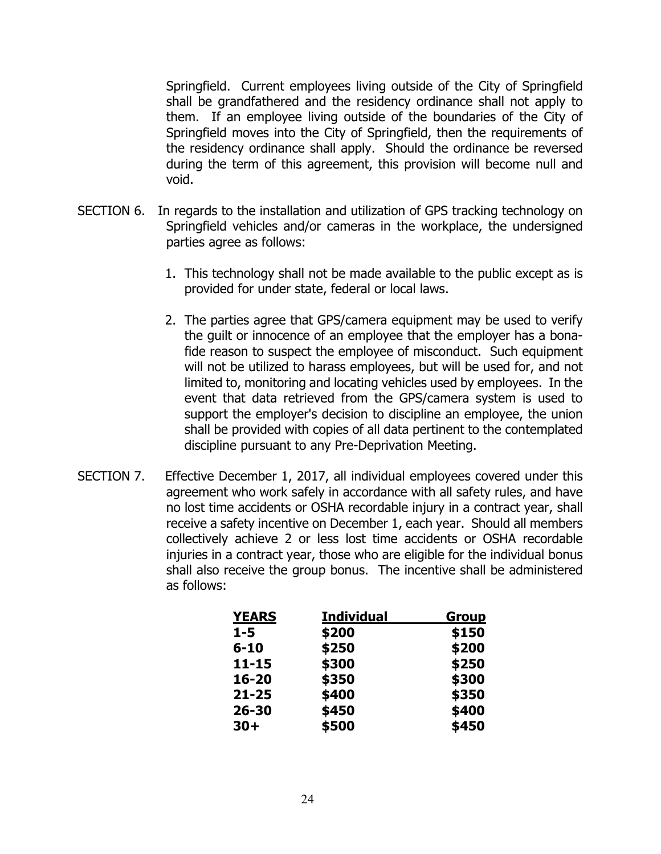Springfield. Current employees living outside of the City of Springfield shall be grandfathered and the residency ordinance shall not apply to them. If an employee living outside of the boundaries of the City of Springfield moves into the City of Springfield, then the requirements of the residency ordinance shall apply. Should the ordinance be reversed during the term of this agreement, this provision will become null and void.

- SECTION 6. In regards to the installation and utilization of GPS tracking technology on Springfield vehicles and/or cameras in the workplace, the undersigned parties agree as follows:
	- 1. This technology shall not be made available to the public except as is provided for under state, federal or local laws.
	- 2. The parties agree that GPS/camera equipment may be used to verify the guilt or innocence of an employee that the employer has a bonafide reason to suspect the employee of misconduct. Such equipment will not be utilized to harass employees, but will be used for, and not limited to, monitoring and locating vehicles used by employees. In the event that data retrieved from the GPS/camera system is used to support the employer's decision to discipline an employee, the union shall be provided with copies of all data pertinent to the contemplated discipline pursuant to any Pre-Deprivation Meeting.
- SECTION 7. Effective December 1, 2017, all individual employees covered under this agreement who work safely in accordance with all safety rules, and have no lost time accidents or OSHA recordable injury in a contract year, shall receive a safety incentive on December 1, each year. Should all members collectively achieve 2 or less lost time accidents or OSHA recordable injuries in a contract year, those who are eligible for the individual bonus shall also receive the group bonus. The incentive shall be administered as follows:

| <b>YEARS</b> | <b>Individual</b> | <u>Group</u> |
|--------------|-------------------|--------------|
| $1 - 5$      | \$200             | \$150        |
| $6 - 10$     | \$250             | \$200        |
| $11 - 15$    | \$300             | \$250        |
| $16 - 20$    | \$350             | \$300        |
| $21 - 25$    | \$400             | \$350        |
| $26 - 30$    | \$450             | \$400        |
| $30+$        | \$500             | \$450        |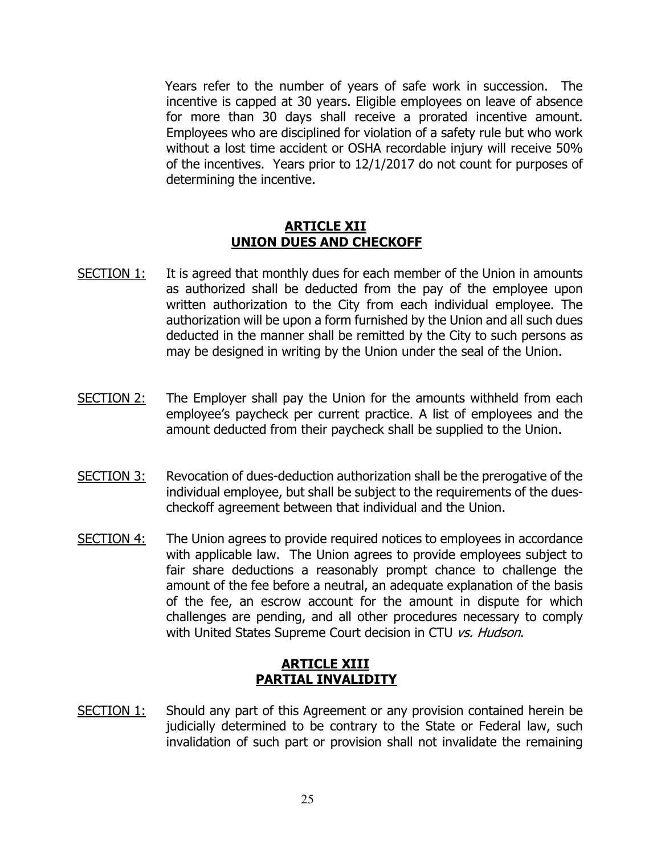Years refer to the number of years of safe work in succession. The incentive is capped at 30 years. Eligible employees on leave of absence for more than 30 days shall receive a prorated incentive amount. Employees who are disciplined for violation of a safety rule but who work without a lost time accident or OSHA recordable injury will receive 50% of the incentives. Years prior to 12/1/2017 do not count for purposes of determining the incentive.

### **ARTICLE XII UNION DUES AND CHECKOFF**

- <span id="page-24-0"></span>SECTION 1: It is agreed that monthly dues for each member of the Union in amounts as authorized shall be deducted from the pay of the employee upon written authorization to the City from each individual employee. The authorization will be upon a form furnished by the Union and all such dues deducted in the manner shall be remitted by the City to such persons as may be designed in writing by the Union under the seal of the Union.
- SECTION 2: The Employer shall pay the Union for the amounts withheld from each employee's paycheck per current practice. A list of employees and the amount deducted from their paycheck shall be supplied to the Union.
- SECTION 3: Revocation of dues-deduction authorization shall be the prerogative of the individual employee, but shall be subject to the requirements of the duescheckoff agreement between that individual and the Union.
- SECTION 4: The Union agrees to provide required notices to employees in accordance with applicable law. The Union agrees to provide employees subject to fair share deductions a reasonably prompt chance to challenge the amount of the fee before a neutral, an adequate explanation of the basis of the fee, an escrow account for the amount in dispute for which challenges are pending, and all other procedures necessary to comply with United States Supreme Court decision in CTU vs. Hudson.

## **ARTICLE XIII PARTIAL INVALIDITY**

<span id="page-24-1"></span>SECTION 1: Should any part of this Agreement or any provision contained herein be judicially determined to be contrary to the State or Federal law, such invalidation of such part or provision shall not invalidate the remaining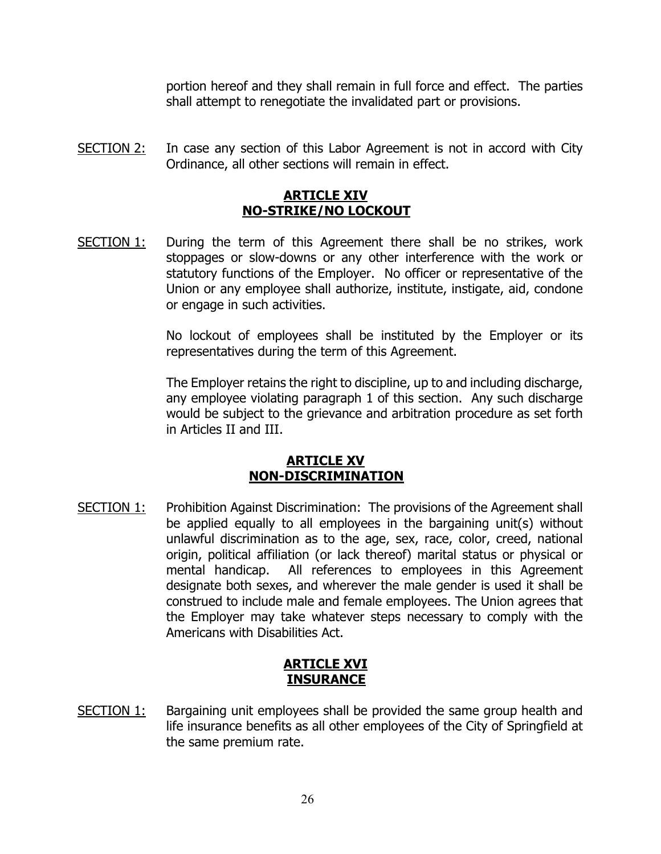portion hereof and they shall remain in full force and effect. The parties shall attempt to renegotiate the invalidated part or provisions.

<span id="page-25-0"></span>SECTION 2: In case any section of this Labor Agreement is not in accord with City Ordinance, all other sections will remain in effect.

# **ARTICLE XIV - NO-STRIKE/NO LOCKOUT**

SECTION 1: During the term of this Agreement there shall be no strikes, work stoppages or slow-downs or any other interference with the work or statutory functions of the Employer. No officer or representative of the Union or any employee shall authorize, institute, instigate, aid, condone or engage in such activities.

> No lockout of employees shall be instituted by the Employer or its representatives during the term of this Agreement.

> The Employer retains the right to discipline, up to and including discharge, any employee violating paragraph 1 of this section. Any such discharge would be subject to the grievance and arbitration procedure as set forth in Articles II and III.

## **ARTICLE XV - NON-DISCRIMINATION**

<span id="page-25-1"></span>SECTION 1: Prohibition Against Discrimination: The provisions of the Agreement shall be applied equally to all employees in the bargaining unit(s) without unlawful discrimination as to the age, sex, race, color, creed, national origin, political affiliation (or lack thereof) marital status or physical or mental handicap. All references to employees in this Agreement designate both sexes, and wherever the male gender is used it shall be construed to include male and female employees. The Union agrees that the Employer may take whatever steps necessary to comply with the Americans with Disabilities Act.

# **ARTICLE XVI INSURANCE**

<span id="page-25-2"></span>SECTION 1: Bargaining unit employees shall be provided the same group health and life insurance benefits as all other employees of the City of Springfield at the same premium rate.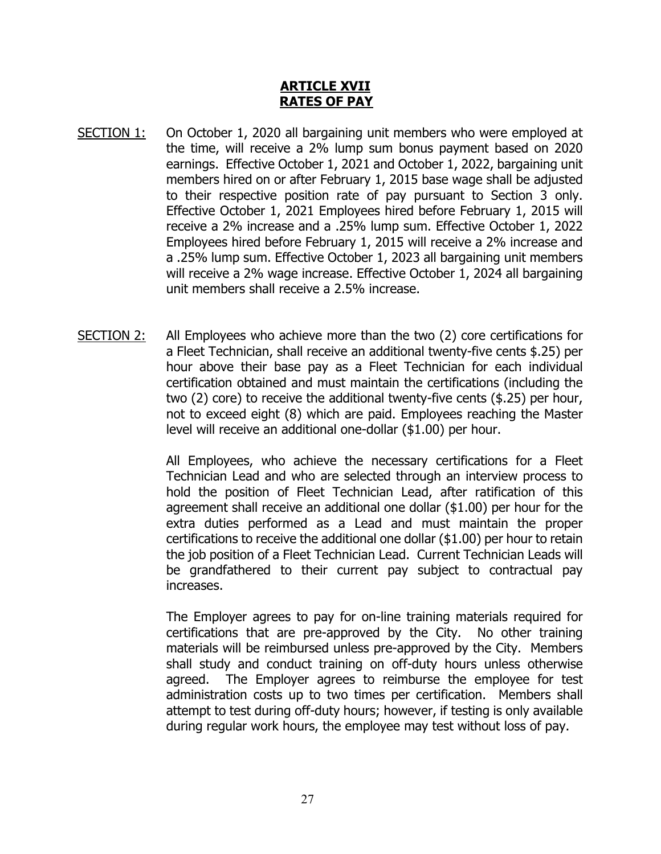### **ARTICLE XVII - RATES OF PAY**

- <span id="page-26-0"></span>SECTION 1: On October 1, 2020 all bargaining unit members who were employed at the time, will receive a 2% lump sum bonus payment based on 2020 earnings. Effective October 1, 2021 and October 1, 2022, bargaining unit members hired on or after February 1, 2015 base wage shall be adjusted to their respective position rate of pay pursuant to Section 3 only. Effective October 1, 2021 Employees hired before February 1, 2015 will receive a 2% increase and a .25% lump sum. Effective October 1, 2022 Employees hired before February 1, 2015 will receive a 2% increase and a .25% lump sum. Effective October 1, 2023 all bargaining unit members will receive a 2% wage increase. Effective October 1, 2024 all bargaining unit members shall receive a 2.5% increase.
- SECTION 2: All Employees who achieve more than the two (2) core certifications for a Fleet Technician, shall receive an additional twenty-five cents \$.25) per hour above their base pay as a Fleet Technician for each individual certification obtained and must maintain the certifications (including the two (2) core) to receive the additional twenty-five cents (\$.25) per hour, not to exceed eight (8) which are paid. Employees reaching the Master level will receive an additional one-dollar (\$1.00) per hour.

All Employees, who achieve the necessary certifications for a Fleet Technician Lead and who are selected through an interview process to hold the position of Fleet Technician Lead, after ratification of this agreement shall receive an additional one dollar (\$1.00) per hour for the extra duties performed as a Lead and must maintain the proper certifications to receive the additional one dollar (\$1.00) per hour to retain the job position of a Fleet Technician Lead. Current Technician Leads will be grandfathered to their current pay subject to contractual pay increases.

The Employer agrees to pay for on-line training materials required for certifications that are pre-approved by the City. No other training materials will be reimbursed unless pre-approved by the City. Members shall study and conduct training on off-duty hours unless otherwise agreed. The Employer agrees to reimburse the employee for test administration costs up to two times per certification. Members shall attempt to test during off-duty hours; however, if testing is only available during regular work hours, the employee may test without loss of pay.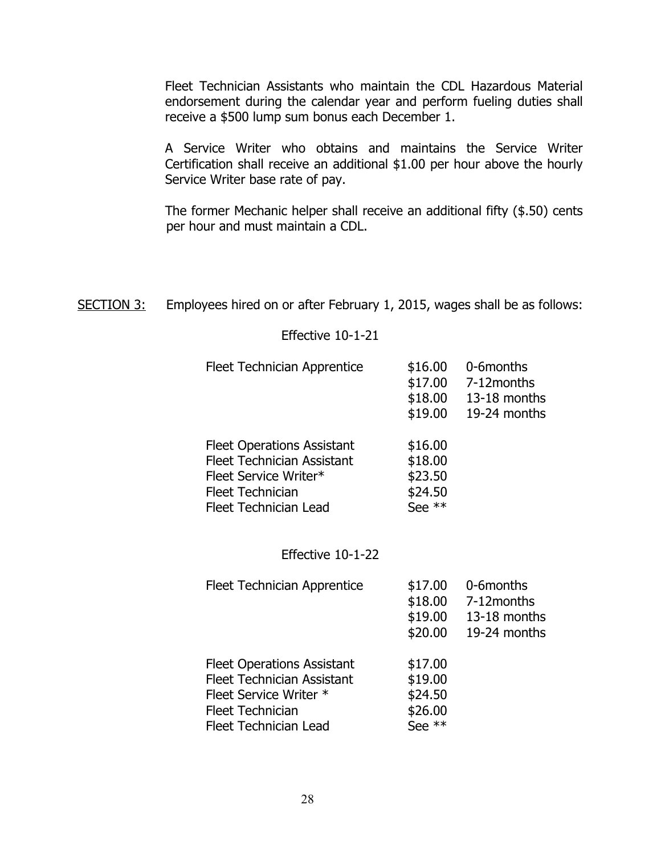Fleet Technician Assistants who maintain the CDL Hazardous Material endorsement during the calendar year and perform fueling duties shall receive a \$500 lump sum bonus each December 1.

A Service Writer who obtains and maintains the Service Writer Certification shall receive an additional \$1.00 per hour above the hourly Service Writer base rate of pay.

The former Mechanic helper shall receive an additional fifty (\$.50) cents per hour and must maintain a CDL.

SECTION 3: Employees hired on or after February 1, 2015, wages shall be as follows:

### Effective 10-1-21

| Fleet Technician Apprentice       | \$16.00<br>\$17.00<br>\$18.00 | 0-6months<br>7-12 months<br>13-18 months |
|-----------------------------------|-------------------------------|------------------------------------------|
|                                   | \$19.00                       | 19-24 months                             |
| <b>Fleet Operations Assistant</b> | \$16.00                       |                                          |
| <b>Fleet Technician Assistant</b> | \$18.00                       |                                          |
| Fleet Service Writer*             | \$23.50                       |                                          |
| <b>Fleet Technician</b>           | \$24.50                       |                                          |
| Fleet Technician Lead             | See $**$                      |                                          |
|                                   |                               |                                          |
|                                   |                               |                                          |

# Effective 10-1-22

| <b>Fleet Technician Apprentice</b> | \$17.00<br>\$18.00<br>\$19.00<br>\$20.00 | 0-6months<br>7-12months<br>13-18 months<br>19-24 months |
|------------------------------------|------------------------------------------|---------------------------------------------------------|
| <b>Fleet Operations Assistant</b>  | \$17.00                                  |                                                         |
| <b>Fleet Technician Assistant</b>  | \$19.00                                  |                                                         |
| Fleet Service Writer *             | \$24.50                                  |                                                         |
| <b>Fleet Technician</b>            | \$26.00                                  |                                                         |
| <b>Fleet Technician Lead</b>       | See **                                   |                                                         |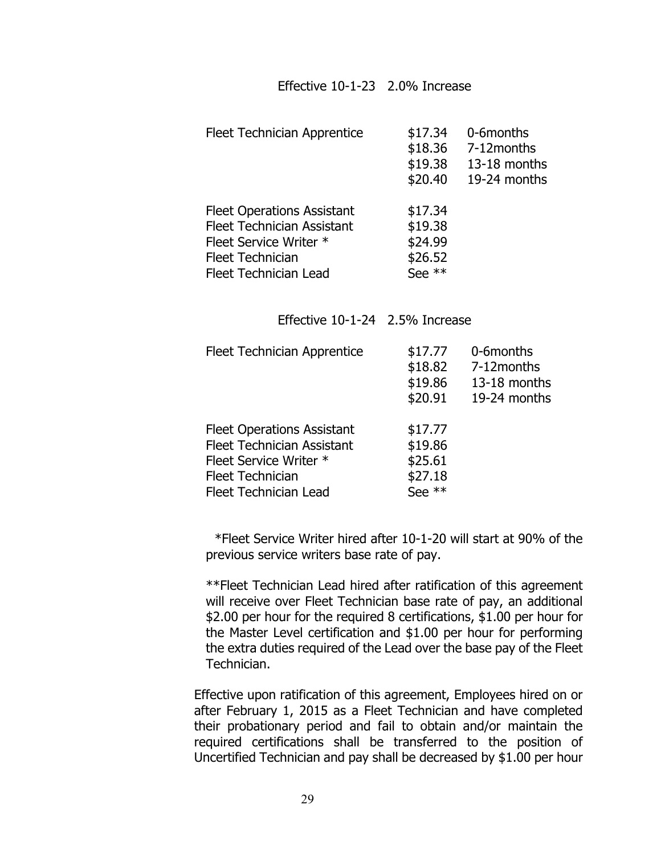### Effective 10-1-23 2.0% Increase

| <b>Fleet Technician Apprentice</b>                                                                                                                          | \$17.34<br>\$18.36<br>\$19.38<br>\$20.40             | 0-6months<br>7-12months<br>13-18 months<br>19-24 months |
|-------------------------------------------------------------------------------------------------------------------------------------------------------------|------------------------------------------------------|---------------------------------------------------------|
| <b>Fleet Operations Assistant</b><br><b>Fleet Technician Assistant</b><br>Fleet Service Writer *<br><b>Fleet Technician</b><br><b>Fleet Technician Lead</b> | \$17.34<br>\$19.38<br>\$24.99<br>\$26.52<br>See $**$ |                                                         |

Effective 10-1-24 2.5% Increase

| <b>Fleet Technician Apprentice</b>                                                                                                                          | \$17.77<br>\$18.82<br>\$19.86<br>\$20.91           | 0-6months<br>7-12 months<br>13-18 months<br>19-24 months |
|-------------------------------------------------------------------------------------------------------------------------------------------------------------|----------------------------------------------------|----------------------------------------------------------|
| <b>Fleet Operations Assistant</b><br><b>Fleet Technician Assistant</b><br>Fleet Service Writer *<br><b>Fleet Technician</b><br><b>Fleet Technician Lead</b> | \$17.77<br>\$19.86<br>\$25.61<br>\$27.18<br>See ** |                                                          |

 \*Fleet Service Writer hired after 10-1-20 will start at 90% of the previous service writers base rate of pay.

 \*\*Fleet Technician Lead hired after ratification of this agreement will receive over Fleet Technician base rate of pay, an additional \$2.00 per hour for the required 8 certifications, \$1.00 per hour for the Master Level certification and \$1.00 per hour for performing the extra duties required of the Lead over the base pay of the Fleet Technician.

Effective upon ratification of this agreement, Employees hired on or after February 1, 2015 as a Fleet Technician and have completed their probationary period and fail to obtain and/or maintain the required certifications shall be transferred to the position of Uncertified Technician and pay shall be decreased by \$1.00 per hour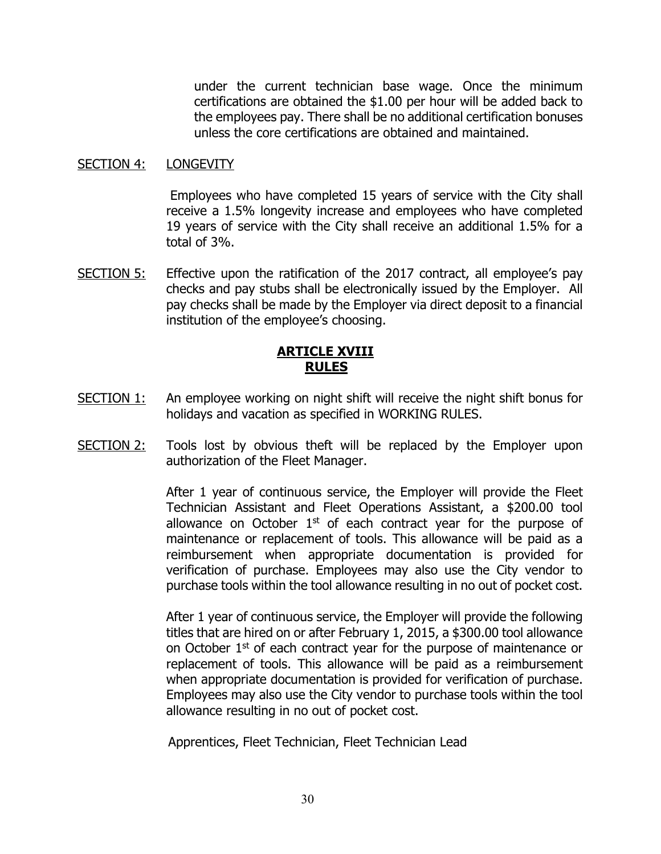under the current technician base wage. Once the minimum certifications are obtained the \$1.00 per hour will be added back to the employees pay. There shall be no additional certification bonuses unless the core certifications are obtained and maintained.

#### SECTION 4: LONGEVITY

Employees who have completed 15 years of service with the City shall receive a 1.5% longevity increase and employees who have completed 19 years of service with the City shall receive an additional 1.5% for a total of 3%.

SECTION 5: Effective upon the ratification of the 2017 contract, all employee's pay checks and pay stubs shall be electronically issued by the Employer. All pay checks shall be made by the Employer via direct deposit to a financial institution of the employee's choosing.

# **ARTICLE XVIII RULES**

- <span id="page-29-0"></span>SECTION 1: An employee working on night shift will receive the night shift bonus for holidays and vacation as specified in WORKING RULES.
- SECTION 2: Tools lost by obvious theft will be replaced by the Employer upon authorization of the Fleet Manager.

After 1 year of continuous service, the Employer will provide the Fleet Technician Assistant and Fleet Operations Assistant, a \$200.00 tool allowance on October  $1<sup>st</sup>$  of each contract year for the purpose of maintenance or replacement of tools. This allowance will be paid as a reimbursement when appropriate documentation is provided for verification of purchase. Employees may also use the City vendor to purchase tools within the tool allowance resulting in no out of pocket cost.

After 1 year of continuous service, the Employer will provide the following titles that are hired on or after February 1, 2015, a \$300.00 tool allowance on October 1st of each contract year for the purpose of maintenance or replacement of tools. This allowance will be paid as a reimbursement when appropriate documentation is provided for verification of purchase. Employees may also use the City vendor to purchase tools within the tool allowance resulting in no out of pocket cost.

Apprentices, Fleet Technician, Fleet Technician Lead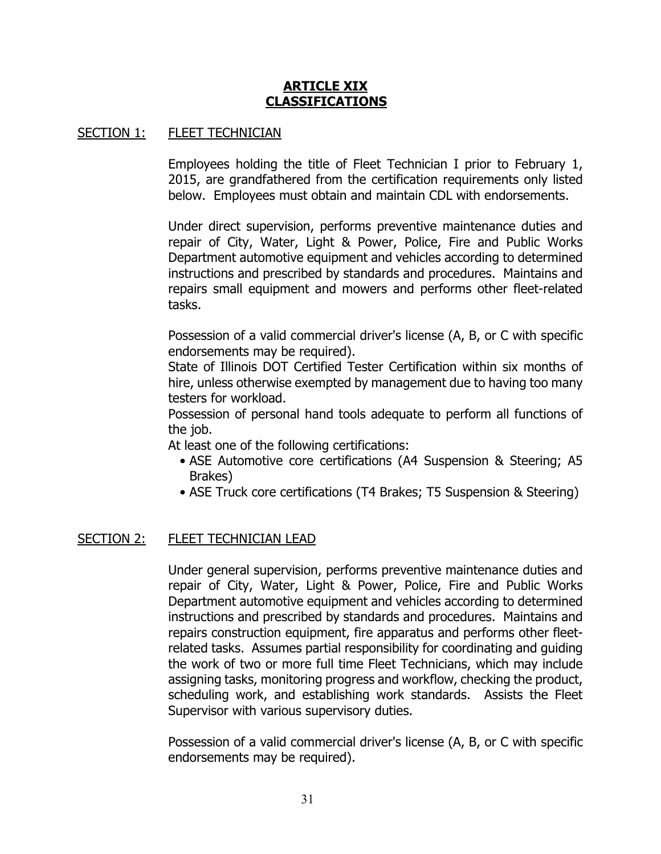### **ARTICLE XIX - CLASSIFICATIONS**

### <span id="page-30-0"></span>SECTION 1: FLEET TECHNICIAN

Employees holding the title of Fleet Technician I prior to February 1, 2015, are grandfathered from the certification requirements only listed below. Employees must obtain and maintain CDL with endorsements.

Under direct supervision, performs preventive maintenance duties and repair of City, Water, Light & Power, Police, Fire and Public Works Department automotive equipment and vehicles according to determined instructions and prescribed by standards and procedures. Maintains and repairs small equipment and mowers and performs other fleet-related tasks.

Possession of a valid commercial driver's license (A, B, or C with specific endorsements may be required).

State of Illinois DOT Certified Tester Certification within six months of hire, unless otherwise exempted by management due to having too many testers for workload.

Possession of personal hand tools adequate to perform all functions of the job.

At least one of the following certifications:

- ASE Automotive core certifications (A4 Suspension & Steering; A5 Brakes)
- ASE Truck core certifications (T4 Brakes; T5 Suspension & Steering)

### SECTION 2: FLEET TECHNICIAN LEAD

Under general supervision, performs preventive maintenance duties and repair of City, Water, Light & Power, Police, Fire and Public Works Department automotive equipment and vehicles according to determined instructions and prescribed by standards and procedures. Maintains and repairs construction equipment, fire apparatus and performs other fleetrelated tasks. Assumes partial responsibility for coordinating and guiding the work of two or more full time Fleet Technicians, which may include assigning tasks, monitoring progress and workflow, checking the product, scheduling work, and establishing work standards. Assists the Fleet Supervisor with various supervisory duties.

Possession of a valid commercial driver's license (A, B, or C with specific endorsements may be required).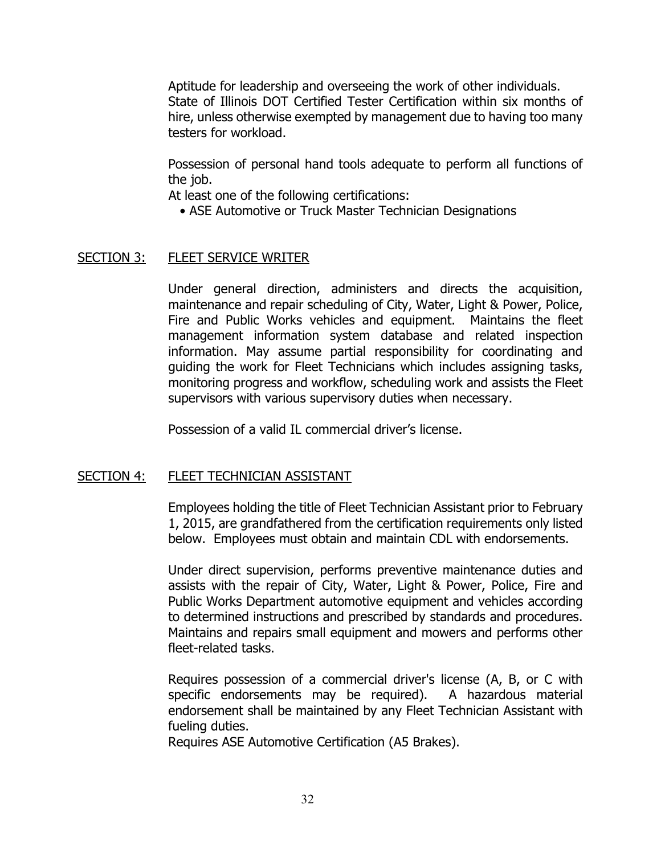Aptitude for leadership and overseeing the work of other individuals. State of Illinois DOT Certified Tester Certification within six months of hire, unless otherwise exempted by management due to having too many testers for workload.

Possession of personal hand tools adequate to perform all functions of the job.

At least one of the following certifications:

• ASE Automotive or Truck Master Technician Designations

# SECTION 3: FLEET SERVICE WRITER

Under general direction, administers and directs the acquisition, maintenance and repair scheduling of City, Water, Light & Power, Police, Fire and Public Works vehicles and equipment. Maintains the fleet management information system database and related inspection information. May assume partial responsibility for coordinating and guiding the work for Fleet Technicians which includes assigning tasks, monitoring progress and workflow, scheduling work and assists the Fleet supervisors with various supervisory duties when necessary.

Possession of a valid IL commercial driver's license.

# SECTION 4: FLEET TECHNICIAN ASSISTANT

Employees holding the title of Fleet Technician Assistant prior to February 1, 2015, are grandfathered from the certification requirements only listed below. Employees must obtain and maintain CDL with endorsements.

Under direct supervision, performs preventive maintenance duties and assists with the repair of City, Water, Light & Power, Police, Fire and Public Works Department automotive equipment and vehicles according to determined instructions and prescribed by standards and procedures. Maintains and repairs small equipment and mowers and performs other fleet-related tasks.

Requires possession of a commercial driver's license (A, B, or C with specific endorsements may be required). A hazardous material endorsement shall be maintained by any Fleet Technician Assistant with fueling duties.

Requires ASE Automotive Certification (A5 Brakes).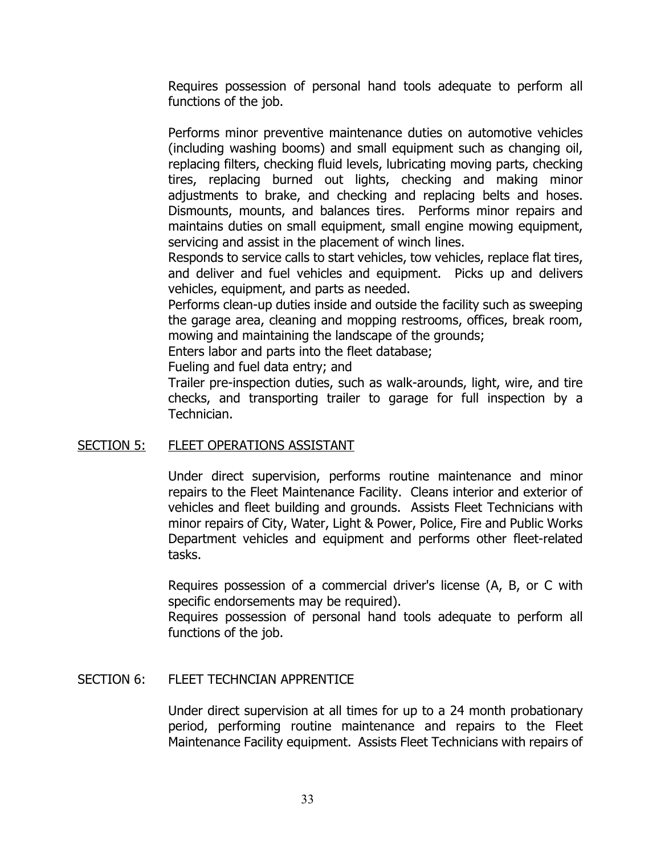Requires possession of personal hand tools adequate to perform all functions of the job.

Performs minor preventive maintenance duties on automotive vehicles (including washing booms) and small equipment such as changing oil, replacing filters, checking fluid levels, lubricating moving parts, checking tires, replacing burned out lights, checking and making minor adjustments to brake, and checking and replacing belts and hoses. Dismounts, mounts, and balances tires. Performs minor repairs and maintains duties on small equipment, small engine mowing equipment, servicing and assist in the placement of winch lines.

Responds to service calls to start vehicles, tow vehicles, replace flat tires, and deliver and fuel vehicles and equipment. Picks up and delivers vehicles, equipment, and parts as needed.

Performs clean-up duties inside and outside the facility such as sweeping the garage area, cleaning and mopping restrooms, offices, break room, mowing and maintaining the landscape of the grounds;

Enters labor and parts into the fleet database;

Fueling and fuel data entry; and

Trailer pre-inspection duties, such as walk-arounds, light, wire, and tire checks, and transporting trailer to garage for full inspection by a Technician.

### SECTION 5: FLEET OPERATIONS ASSISTANT

Under direct supervision, performs routine maintenance and minor repairs to the Fleet Maintenance Facility. Cleans interior and exterior of vehicles and fleet building and grounds. Assists Fleet Technicians with minor repairs of City, Water, Light & Power, Police, Fire and Public Works Department vehicles and equipment and performs other fleet-related tasks.

Requires possession of a commercial driver's license (A, B, or C with specific endorsements may be required).

Requires possession of personal hand tools adequate to perform all functions of the job.

### SECTION 6: FLEET TECHNCIAN APPRENTICE

Under direct supervision at all times for up to a 24 month probationary period, performing routine maintenance and repairs to the Fleet Maintenance Facility equipment. Assists Fleet Technicians with repairs of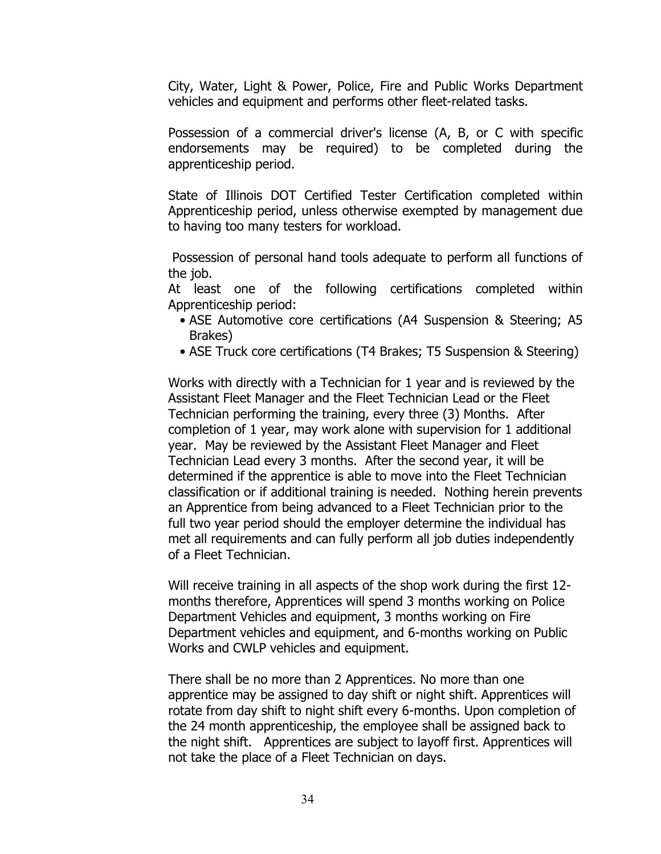City, Water, Light & Power, Police, Fire and Public Works Department vehicles and equipment and performs other fleet-related tasks.

Possession of a commercial driver's license (A, B, or C with specific endorsements may be required) to be completed during the apprenticeship period.

State of Illinois DOT Certified Tester Certification completed within Apprenticeship period, unless otherwise exempted by management due to having too many testers for workload.

Possession of personal hand tools adequate to perform all functions of the job.

At least one of the following certifications completed within Apprenticeship period:

- ASE Automotive core certifications (A4 Suspension & Steering; A5 Brakes)
- ASE Truck core certifications (T4 Brakes; T5 Suspension & Steering)

Works with directly with a Technician for 1 year and is reviewed by the Assistant Fleet Manager and the Fleet Technician Lead or the Fleet Technician performing the training, every three (3) Months. After completion of 1 year, may work alone with supervision for 1 additional year. May be reviewed by the Assistant Fleet Manager and Fleet Technician Lead every 3 months. After the second year, it will be determined if the apprentice is able to move into the Fleet Technician classification or if additional training is needed. Nothing herein prevents an Apprentice from being advanced to a Fleet Technician prior to the full two year period should the employer determine the individual has met all requirements and can fully perform all job duties independently of a Fleet Technician.

Will receive training in all aspects of the shop work during the first 12 months therefore, Apprentices will spend 3 months working on Police Department Vehicles and equipment, 3 months working on Fire Department vehicles and equipment, and 6-months working on Public Works and CWLP vehicles and equipment.

There shall be no more than 2 Apprentices. No more than one apprentice may be assigned to day shift or night shift. Apprentices will rotate from day shift to night shift every 6-months. Upon completion of the 24 month apprenticeship, the employee shall be assigned back to the night shift. Apprentices are subject to layoff first. Apprentices will not take the place of a Fleet Technician on days.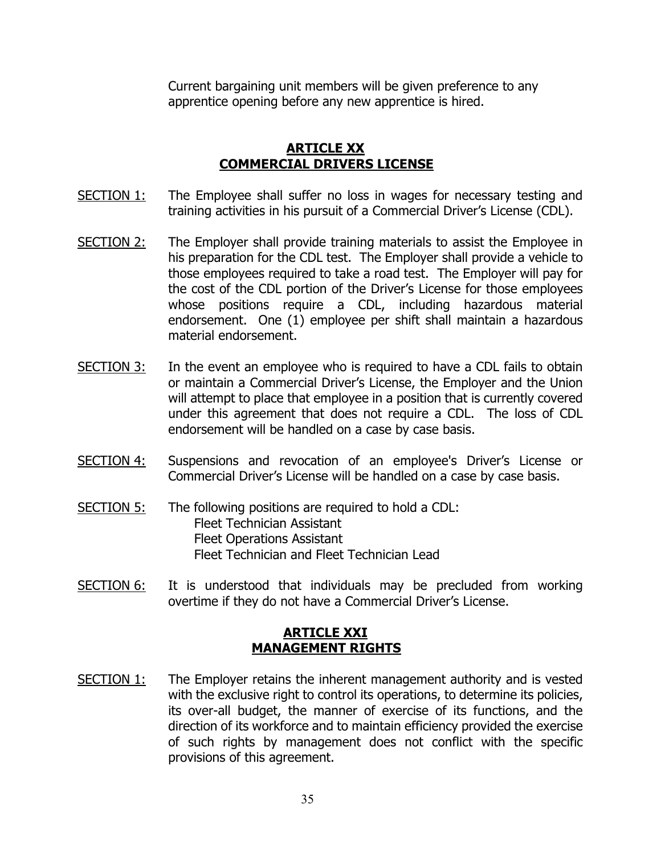Current bargaining unit members will be given preference to any apprentice opening before any new apprentice is hired.

# **ARTICLE XX COMMERCIAL DRIVERS LICENSE**

- <span id="page-34-0"></span>SECTION 1: The Employee shall suffer no loss in wages for necessary testing and training activities in his pursuit of a Commercial Driver's License (CDL).
- SECTION 2: The Employer shall provide training materials to assist the Employee in his preparation for the CDL test. The Employer shall provide a vehicle to those employees required to take a road test. The Employer will pay for the cost of the CDL portion of the Driver's License for those employees whose positions require a CDL, including hazardous material endorsement. One (1) employee per shift shall maintain a hazardous material endorsement.
- $SECTION 3:$  In the event an employee who is required to have a CDL fails to obtain or maintain a Commercial Driver's License, the Employer and the Union will attempt to place that employee in a position that is currently covered under this agreement that does not require a CDL. The loss of CDL endorsement will be handled on a case by case basis.
- SECTION 4: Suspensions and revocation of an employee's Driver's License or Commercial Driver's License will be handled on a case by case basis.
- SECTION 5: The following positions are required to hold a CDL: Fleet Technician Assistant Fleet Operations Assistant Fleet Technician and Fleet Technician Lead
- <span id="page-34-1"></span>SECTION 6: It is understood that individuals may be precluded from working overtime if they do not have a Commercial Driver's License.

## **ARTICLE XXI - MANAGEMENT RIGHTS**

SECTION 1: The Employer retains the inherent management authority and is vested with the exclusive right to control its operations, to determine its policies, its over-all budget, the manner of exercise of its functions, and the direction of its workforce and to maintain efficiency provided the exercise of such rights by management does not conflict with the specific provisions of this agreement.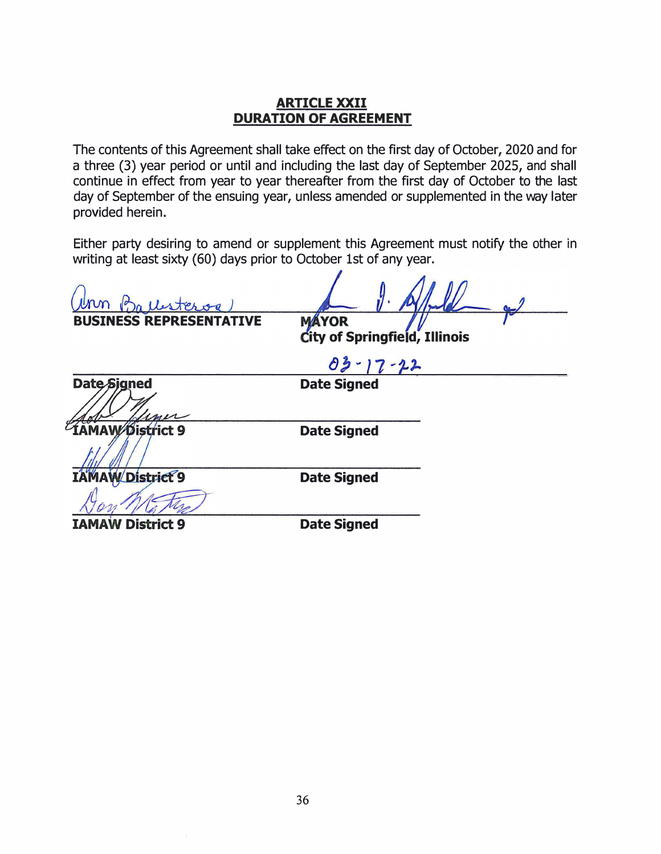### ARTICLE XXII DURATION OF AGREEMENT

<span id="page-35-0"></span>The contents of this Agreement shall take effect on the first day of October, 2020 and for a three (3) year period or until and including the last day of September 2025, and shall continue in effect from year to year thereafter from the first day of October to the last day of September of the ensuing year, unless amended or supplemented in the way later provided herein.

Either party desiring to amend or supplement this Agreement must notify the other in writing at least sixty (60) days prior to October 1st of any year.

**MÁYOR** 

City of Springfield, Illinois

03

Date Signed

Date-Signed **IAMAW Bistrict 9** 

Date Signed

**W** District 9 IA

**District 9** 

Date Signed

Date Signed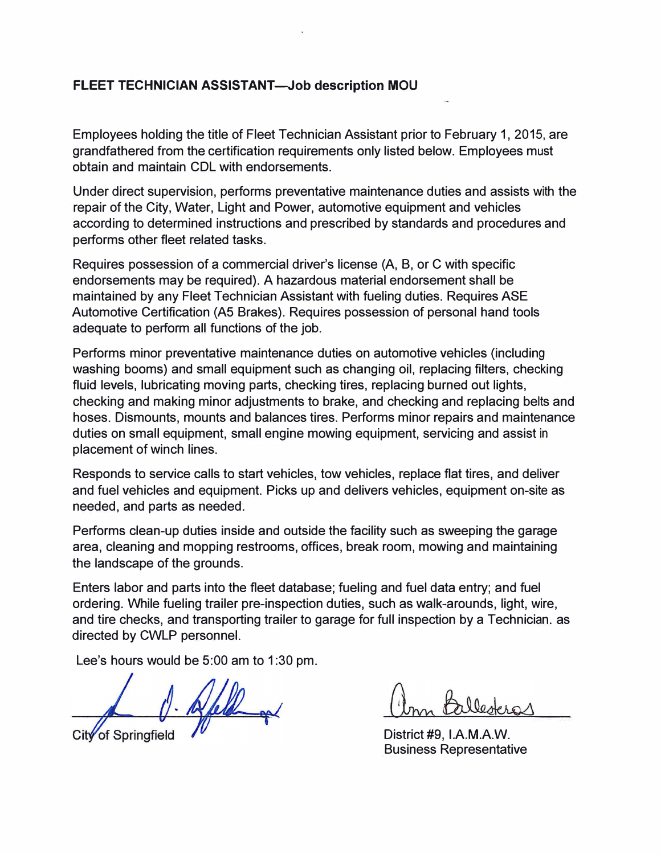# FLEET TECHNICIAN ASSISTANT-Job description MOU

Employees holding the title of Fleet Technician Assistant prior to February 1, 2015, are grandfathered from the certification requirements only listed below. Employees must obtain and maintain COL with endorsements.

Under direct supervision, performs preventative maintenance duties and assists with the repair of the City, Water, Light and Power, automotive equipment and vehicles according to determined instructions and prescribed by standards and procedures and performs other fleet related tasks.

Requires possession of a commercial driver's license (A, B, or C with specific endorsements may be required). A hazardous material endorsement shall be maintained by any Fleet Technician Assistant with fueling duties. Requires ASE Automotive Certification (AS Brakes). Requires possession of personal hand tools adequate to perform all functions of the job.

Performs minor preventative maintenance duties on automotive vehicles (including washing booms) and small equipment such as changing oil, replacing filters, checking fluid levels, lubricating moving parts, checking tires, replacing burned out lights, checking and making minor adjustments to brake, and checking and replacing belts and hoses. Dismounts, mounts and balances tires. Performs minor repairs and maintenance duties on small equipment, small engine mowing equipment, servicing and assist in placement of winch lines.

Responds to service calls to start vehicles, tow vehicles, replace flat tires, and deliver and fuel vehicles and equipment. Picks up and delivers vehicles, equipment on-site as needed, and parts as needed.

Performs clean-up duties inside and outside the facility such as sweeping the garage area, cleaning and mopping restrooms, offices, break room, mowing and maintaining the landscape of the grounds.

Enters labor and parts into the fleet database; fueling and fuel data entry; and fuel ordering. While fueling trailer pre-inspection duties, such as walk-arounds, light, wire, and tire checks, and transporting trailer to garage for full inspection by a Technician. as directed by CWLP personnel.

Lee's hours would be 5:00 am to 1:30 pm.

City of Springfield

District #9, l.A.M.A.W. Business Representative